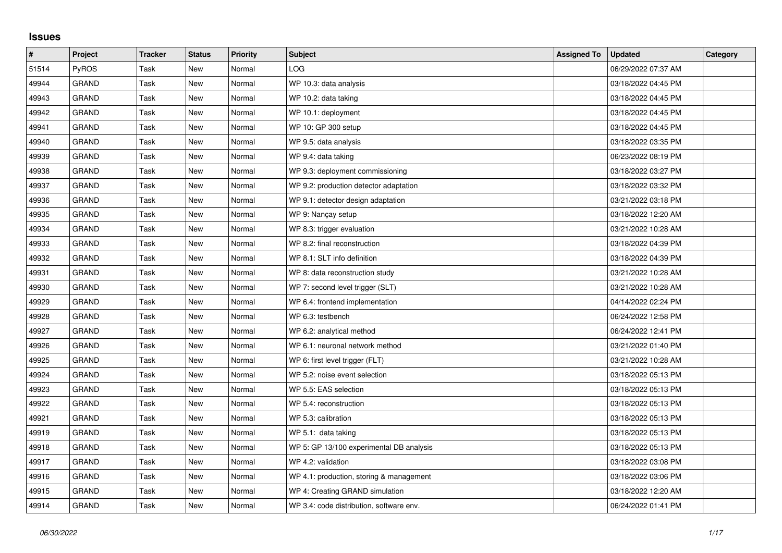## **Issues**

| $\sharp$ | <b>Project</b> | <b>Tracker</b> | <b>Status</b> | <b>Priority</b> | <b>Subject</b>                           | <b>Assigned To</b> | <b>Updated</b>      | Category |
|----------|----------------|----------------|---------------|-----------------|------------------------------------------|--------------------|---------------------|----------|
| 51514    | PyROS          | Task           | <b>New</b>    | Normal          | LOG                                      |                    | 06/29/2022 07:37 AM |          |
| 49944    | <b>GRAND</b>   | Task           | New           | Normal          | WP 10.3: data analysis                   |                    | 03/18/2022 04:45 PM |          |
| 49943    | <b>GRAND</b>   | Task           | New           | Normal          | WP 10.2: data taking                     |                    | 03/18/2022 04:45 PM |          |
| 49942    | <b>GRAND</b>   | Task           | <b>New</b>    | Normal          | WP 10.1: deployment                      |                    | 03/18/2022 04:45 PM |          |
| 49941    | <b>GRAND</b>   | Task           | New           | Normal          | WP 10: GP 300 setup                      |                    | 03/18/2022 04:45 PM |          |
| 49940    | <b>GRAND</b>   | Task           | New           | Normal          | WP 9.5: data analysis                    |                    | 03/18/2022 03:35 PM |          |
| 49939    | <b>GRAND</b>   | Task           | <b>New</b>    | Normal          | WP 9.4: data taking                      |                    | 06/23/2022 08:19 PM |          |
| 49938    | <b>GRAND</b>   | Task           | <b>New</b>    | Normal          | WP 9.3: deployment commissioning         |                    | 03/18/2022 03:27 PM |          |
| 49937    | <b>GRAND</b>   | Task           | <b>New</b>    | Normal          | WP 9.2: production detector adaptation   |                    | 03/18/2022 03:32 PM |          |
| 49936    | <b>GRAND</b>   | Task           | <b>New</b>    | Normal          | WP 9.1: detector design adaptation       |                    | 03/21/2022 03:18 PM |          |
| 49935    | <b>GRAND</b>   | Task           | <b>New</b>    | Normal          | WP 9: Nançay setup                       |                    | 03/18/2022 12:20 AM |          |
| 49934    | <b>GRAND</b>   | Task           | <b>New</b>    | Normal          | WP 8.3: trigger evaluation               |                    | 03/21/2022 10:28 AM |          |
| 49933    | <b>GRAND</b>   | Task           | <b>New</b>    | Normal          | WP 8.2: final reconstruction             |                    | 03/18/2022 04:39 PM |          |
| 49932    | <b>GRAND</b>   | Task           | New           | Normal          | WP 8.1: SLT info definition              |                    | 03/18/2022 04:39 PM |          |
| 49931    | <b>GRAND</b>   | Task           | New           | Normal          | WP 8: data reconstruction study          |                    | 03/21/2022 10:28 AM |          |
| 49930    | <b>GRAND</b>   | Task           | <b>New</b>    | Normal          | WP 7: second level trigger (SLT)         |                    | 03/21/2022 10:28 AM |          |
| 49929    | <b>GRAND</b>   | Task           | New           | Normal          | WP 6.4: frontend implementation          |                    | 04/14/2022 02:24 PM |          |
| 49928    | <b>GRAND</b>   | Task           | <b>New</b>    | Normal          | WP 6.3: testbench                        |                    | 06/24/2022 12:58 PM |          |
| 49927    | <b>GRAND</b>   | Task           | <b>New</b>    | Normal          | WP 6.2: analytical method                |                    | 06/24/2022 12:41 PM |          |
| 49926    | GRAND          | Task           | <b>New</b>    | Normal          | WP 6.1: neuronal network method          |                    | 03/21/2022 01:40 PM |          |
| 49925    | <b>GRAND</b>   | Task           | <b>New</b>    | Normal          | WP 6: first level trigger (FLT)          |                    | 03/21/2022 10:28 AM |          |
| 49924    | <b>GRAND</b>   | Task           | <b>New</b>    | Normal          | WP 5.2: noise event selection            |                    | 03/18/2022 05:13 PM |          |
| 49923    | GRAND          | Task           | New           | Normal          | WP 5.5: EAS selection                    |                    | 03/18/2022 05:13 PM |          |
| 49922    | <b>GRAND</b>   | Task           | <b>New</b>    | Normal          | WP 5.4: reconstruction                   |                    | 03/18/2022 05:13 PM |          |
| 49921    | <b>GRAND</b>   | Task           | <b>New</b>    | Normal          | WP 5.3: calibration                      |                    | 03/18/2022 05:13 PM |          |
| 49919    | <b>GRAND</b>   | Task           | New           | Normal          | WP 5.1: data taking                      |                    | 03/18/2022 05:13 PM |          |
| 49918    | <b>GRAND</b>   | Task           | <b>New</b>    | Normal          | WP 5: GP 13/100 experimental DB analysis |                    | 03/18/2022 05:13 PM |          |
| 49917    | <b>GRAND</b>   | Task           | New           | Normal          | WP 4.2: validation                       |                    | 03/18/2022 03:08 PM |          |
| 49916    | <b>GRAND</b>   | Task           | New           | Normal          | WP 4.1: production, storing & management |                    | 03/18/2022 03:06 PM |          |
| 49915    | <b>GRAND</b>   | Task           | <b>New</b>    | Normal          | WP 4: Creating GRAND simulation          |                    | 03/18/2022 12:20 AM |          |
| 49914    | <b>GRAND</b>   | Task           | New           | Normal          | WP 3.4: code distribution, software env. |                    | 06/24/2022 01:41 PM |          |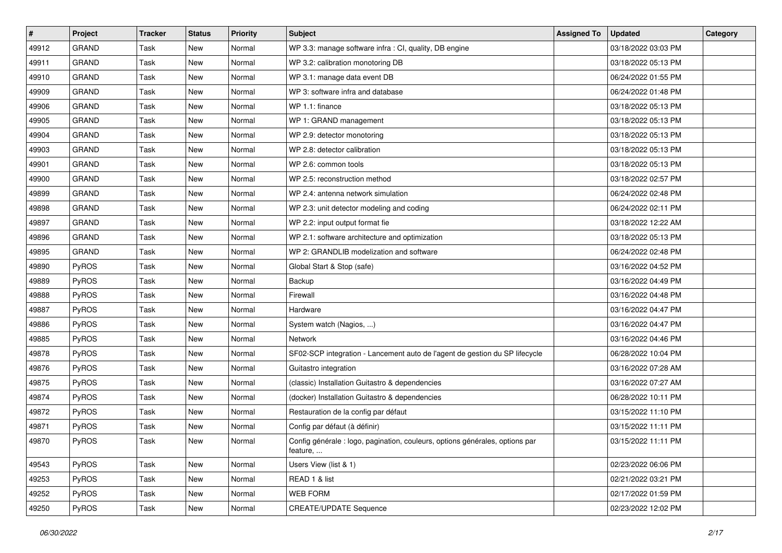| $\sharp$ | Project      | <b>Tracker</b> | <b>Status</b> | <b>Priority</b> | Subject                                                                                  | <b>Assigned To</b> | <b>Updated</b>      | Category |
|----------|--------------|----------------|---------------|-----------------|------------------------------------------------------------------------------------------|--------------------|---------------------|----------|
| 49912    | <b>GRAND</b> | Task           | <b>New</b>    | Normal          | WP 3.3: manage software infra : CI, quality, DB engine                                   |                    | 03/18/2022 03:03 PM |          |
| 49911    | <b>GRAND</b> | Task           | <b>New</b>    | Normal          | WP 3.2: calibration monotoring DB                                                        |                    | 03/18/2022 05:13 PM |          |
| 49910    | <b>GRAND</b> | Task           | New           | Normal          | WP 3.1: manage data event DB                                                             |                    | 06/24/2022 01:55 PM |          |
| 49909    | <b>GRAND</b> | Task           | New           | Normal          | WP 3: software infra and database                                                        |                    | 06/24/2022 01:48 PM |          |
| 49906    | <b>GRAND</b> | Task           | <b>New</b>    | Normal          | WP 1.1: finance                                                                          |                    | 03/18/2022 05:13 PM |          |
| 49905    | <b>GRAND</b> | Task           | New           | Normal          | WP 1: GRAND management                                                                   |                    | 03/18/2022 05:13 PM |          |
| 49904    | <b>GRAND</b> | Task           | <b>New</b>    | Normal          | WP 2.9: detector monotoring                                                              |                    | 03/18/2022 05:13 PM |          |
| 49903    | <b>GRAND</b> | Task           | New           | Normal          | WP 2.8: detector calibration                                                             |                    | 03/18/2022 05:13 PM |          |
| 49901    | <b>GRAND</b> | Task           | New           | Normal          | WP 2.6: common tools                                                                     |                    | 03/18/2022 05:13 PM |          |
| 49900    | <b>GRAND</b> | Task           | New           | Normal          | WP 2.5: reconstruction method                                                            |                    | 03/18/2022 02:57 PM |          |
| 49899    | <b>GRAND</b> | Task           | New           | Normal          | WP 2.4: antenna network simulation                                                       |                    | 06/24/2022 02:48 PM |          |
| 49898    | <b>GRAND</b> | Task           | <b>New</b>    | Normal          | WP 2.3: unit detector modeling and coding                                                |                    | 06/24/2022 02:11 PM |          |
| 49897    | <b>GRAND</b> | Task           | New           | Normal          | WP 2.2: input output format fie                                                          |                    | 03/18/2022 12:22 AM |          |
| 49896    | <b>GRAND</b> | Task           | New           | Normal          | WP 2.1: software architecture and optimization                                           |                    | 03/18/2022 05:13 PM |          |
| 49895    | <b>GRAND</b> | Task           | <b>New</b>    | Normal          | WP 2: GRANDLIB modelization and software                                                 |                    | 06/24/2022 02:48 PM |          |
| 49890    | <b>PyROS</b> | Task           | New           | Normal          | Global Start & Stop (safe)                                                               |                    | 03/16/2022 04:52 PM |          |
| 49889    | PyROS        | Task           | New           | Normal          | Backup                                                                                   |                    | 03/16/2022 04:49 PM |          |
| 49888    | PyROS        | Task           | New           | Normal          | Firewall                                                                                 |                    | 03/16/2022 04:48 PM |          |
| 49887    | PyROS        | Task           | New           | Normal          | Hardware                                                                                 |                    | 03/16/2022 04:47 PM |          |
| 49886    | PyROS        | Task           | <b>New</b>    | Normal          | System watch (Nagios, )                                                                  |                    | 03/16/2022 04:47 PM |          |
| 49885    | PyROS        | Task           | New           | Normal          | <b>Network</b>                                                                           |                    | 03/16/2022 04:46 PM |          |
| 49878    | PyROS        | Task           | New           | Normal          | SF02-SCP integration - Lancement auto de l'agent de gestion du SP lifecycle              |                    | 06/28/2022 10:04 PM |          |
| 49876    | <b>PyROS</b> | Task           | New           | Normal          | Guitastro integration                                                                    |                    | 03/16/2022 07:28 AM |          |
| 49875    | <b>PyROS</b> | Task           | New           | Normal          | (classic) Installation Guitastro & dependencies                                          |                    | 03/16/2022 07:27 AM |          |
| 49874    | PyROS        | Task           | <b>New</b>    | Normal          | (docker) Installation Guitastro & dependencies                                           |                    | 06/28/2022 10:11 PM |          |
| 49872    | <b>PyROS</b> | Task           | New           | Normal          | Restauration de la config par défaut                                                     |                    | 03/15/2022 11:10 PM |          |
| 49871    | PyROS        | Task           | New           | Normal          | Config par défaut (à définir)                                                            |                    | 03/15/2022 11:11 PM |          |
| 49870    | PyROS        | Task           | New           | Normal          | Config générale : logo, pagination, couleurs, options générales, options par<br>feature, |                    | 03/15/2022 11:11 PM |          |
| 49543    | PyROS        | Task           | New           | Normal          | Users View (list & 1)                                                                    |                    | 02/23/2022 06:06 PM |          |
| 49253    | PyROS        | Task           | New           | Normal          | READ 1 & list                                                                            |                    | 02/21/2022 03:21 PM |          |
| 49252    | PyROS        | Task           | New           | Normal          | WEB FORM                                                                                 |                    | 02/17/2022 01:59 PM |          |
| 49250    | PyROS        | Task           | New           | Normal          | <b>CREATE/UPDATE Sequence</b>                                                            |                    | 02/23/2022 12:02 PM |          |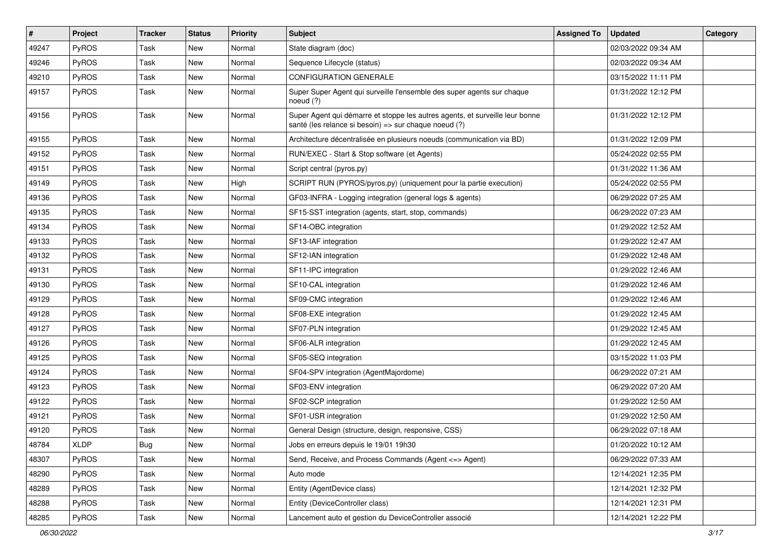| $\sharp$ | Project | <b>Tracker</b> | <b>Status</b> | <b>Priority</b> | <b>Subject</b>                                                                                                                        | <b>Assigned To</b> | <b>Updated</b>      | Category |
|----------|---------|----------------|---------------|-----------------|---------------------------------------------------------------------------------------------------------------------------------------|--------------------|---------------------|----------|
| 49247    | PyROS   | Task           | <b>New</b>    | Normal          | State diagram (doc)                                                                                                                   |                    | 02/03/2022 09:34 AM |          |
| 49246    | PyROS   | Task           | New           | Normal          | Sequence Lifecycle (status)                                                                                                           |                    | 02/03/2022 09:34 AM |          |
| 49210    | PyROS   | Task           | New           | Normal          | CONFIGURATION GENERALE                                                                                                                |                    | 03/15/2022 11:11 PM |          |
| 49157    | PyROS   | Task           | New           | Normal          | Super Super Agent qui surveille l'ensemble des super agents sur chaque<br>noeud $(?)$                                                 |                    | 01/31/2022 12:12 PM |          |
| 49156    | PyROS   | Task           | New           | Normal          | Super Agent qui démarre et stoppe les autres agents, et surveille leur bonne<br>santé (les relance si besoin) => sur chaque noeud (?) |                    | 01/31/2022 12:12 PM |          |
| 49155    | PyROS   | Task           | New           | Normal          | Architecture décentralisée en plusieurs noeuds (communication via BD)                                                                 |                    | 01/31/2022 12:09 PM |          |
| 49152    | PyROS   | Task           | <b>New</b>    | Normal          | RUN/EXEC - Start & Stop software (et Agents)                                                                                          |                    | 05/24/2022 02:55 PM |          |
| 49151    | PyROS   | Task           | New           | Normal          | Script central (pyros.py)                                                                                                             |                    | 01/31/2022 11:36 AM |          |
| 49149    | PyROS   | Task           | New           | High            | SCRIPT RUN (PYROS/pyros.py) (uniquement pour la partie execution)                                                                     |                    | 05/24/2022 02:55 PM |          |
| 49136    | PyROS   | Task           | New           | Normal          | GF03-INFRA - Logging integration (general logs & agents)                                                                              |                    | 06/29/2022 07:25 AM |          |
| 49135    | PyROS   | Task           | New           | Normal          | SF15-SST integration (agents, start, stop, commands)                                                                                  |                    | 06/29/2022 07:23 AM |          |
| 49134    | PyROS   | Task           | New           | Normal          | SF14-OBC integration                                                                                                                  |                    | 01/29/2022 12:52 AM |          |
| 49133    | PyROS   | Task           | New           | Normal          | SF13-IAF integration                                                                                                                  |                    | 01/29/2022 12:47 AM |          |
| 49132    | PyROS   | Task           | New           | Normal          | SF12-IAN integration                                                                                                                  |                    | 01/29/2022 12:48 AM |          |
| 49131    | PyROS   | Task           | New           | Normal          | SF11-IPC integration                                                                                                                  |                    | 01/29/2022 12:46 AM |          |
| 49130    | PyROS   | Task           | New           | Normal          | SF10-CAL integration                                                                                                                  |                    | 01/29/2022 12:46 AM |          |
| 49129    | PyROS   | Task           | New           | Normal          | SF09-CMC integration                                                                                                                  |                    | 01/29/2022 12:46 AM |          |
| 49128    | PyROS   | Task           | <b>New</b>    | Normal          | SF08-EXE integration                                                                                                                  |                    | 01/29/2022 12:45 AM |          |
| 49127    | PyROS   | Task           | New           | Normal          | SF07-PLN integration                                                                                                                  |                    | 01/29/2022 12:45 AM |          |
| 49126    | PyROS   | Task           | New           | Normal          | SF06-ALR integration                                                                                                                  |                    | 01/29/2022 12:45 AM |          |
| 49125    | PyROS   | Task           | New           | Normal          | SF05-SEQ integration                                                                                                                  |                    | 03/15/2022 11:03 PM |          |
| 49124    | PyROS   | Task           | New           | Normal          | SF04-SPV integration (AgentMajordome)                                                                                                 |                    | 06/29/2022 07:21 AM |          |
| 49123    | PyROS   | Task           | New           | Normal          | SF03-ENV integration                                                                                                                  |                    | 06/29/2022 07:20 AM |          |
| 49122    | PyROS   | Task           | New           | Normal          | SF02-SCP integration                                                                                                                  |                    | 01/29/2022 12:50 AM |          |
| 49121    | PyROS   | Task           | <b>New</b>    | Normal          | SF01-USR integration                                                                                                                  |                    | 01/29/2022 12:50 AM |          |
| 49120    | PyROS   | Task           | <b>New</b>    | Normal          | General Design (structure, design, responsive, CSS)                                                                                   |                    | 06/29/2022 07:18 AM |          |
| 48784    | XLDP    | Bug            | New           | Normal          | Jobs en erreurs depuis le 19/01 19h30                                                                                                 |                    | 01/20/2022 10:12 AM |          |
| 48307    | PyROS   | Task           | New           | Normal          | Send, Receive, and Process Commands (Agent <= > Agent)                                                                                |                    | 06/29/2022 07:33 AM |          |
| 48290    | PyROS   | Task           | New           | Normal          | Auto mode                                                                                                                             |                    | 12/14/2021 12:35 PM |          |
| 48289    | PyROS   | Task           | New           | Normal          | Entity (AgentDevice class)                                                                                                            |                    | 12/14/2021 12:32 PM |          |
| 48288    | PyROS   | Task           | New           | Normal          | Entity (DeviceController class)                                                                                                       |                    | 12/14/2021 12:31 PM |          |
| 48285    | PyROS   | Task           | New           | Normal          | Lancement auto et gestion du DeviceController associé                                                                                 |                    | 12/14/2021 12:22 PM |          |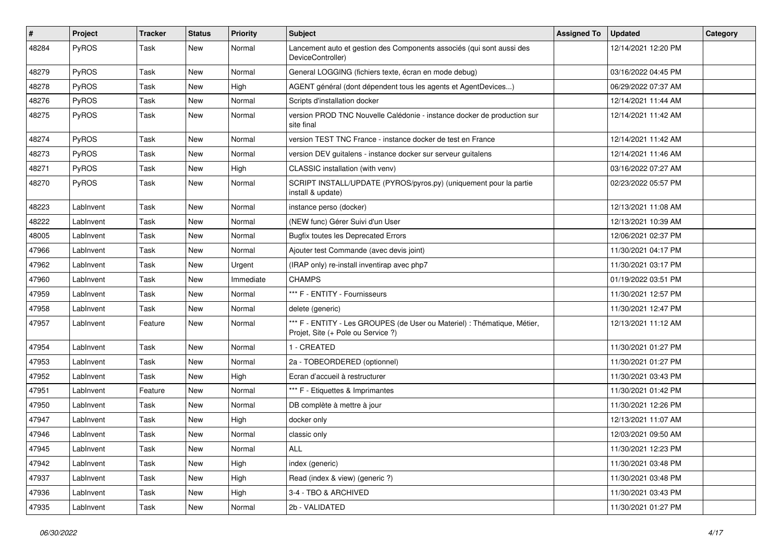| #     | Project      | <b>Tracker</b> | <b>Status</b> | <b>Priority</b> | Subject                                                                                                        | <b>Assigned To</b> | <b>Updated</b>      | Category |
|-------|--------------|----------------|---------------|-----------------|----------------------------------------------------------------------------------------------------------------|--------------------|---------------------|----------|
| 48284 | PyROS        | Task           | New           | Normal          | Lancement auto et gestion des Components associés (qui sont aussi des<br>DeviceController)                     |                    | 12/14/2021 12:20 PM |          |
| 48279 | PyROS        | Task           | <b>New</b>    | Normal          | General LOGGING (fichiers texte, écran en mode debug)                                                          |                    | 03/16/2022 04:45 PM |          |
| 48278 | PyROS        | Task           | New           | High            | AGENT général (dont dépendent tous les agents et AgentDevices)                                                 |                    | 06/29/2022 07:37 AM |          |
| 48276 | PyROS        | Task           | <b>New</b>    | Normal          | Scripts d'installation docker                                                                                  |                    | 12/14/2021 11:44 AM |          |
| 48275 | PyROS        | Task           | New           | Normal          | version PROD TNC Nouvelle Calédonie - instance docker de production sur<br>site final                          |                    | 12/14/2021 11:42 AM |          |
| 48274 | PyROS        | Task           | New           | Normal          | version TEST TNC France - instance docker de test en France                                                    |                    | 12/14/2021 11:42 AM |          |
| 48273 | PyROS        | Task           | <b>New</b>    | Normal          | version DEV guitalens - instance docker sur serveur guitalens                                                  |                    | 12/14/2021 11:46 AM |          |
| 48271 | PyROS        | Task           | New           | High            | CLASSIC installation (with venv)                                                                               |                    | 03/16/2022 07:27 AM |          |
| 48270 | <b>PyROS</b> | Task           | New           | Normal          | SCRIPT INSTALL/UPDATE (PYROS/pyros.py) (uniquement pour la partie<br>install & update)                         |                    | 02/23/2022 05:57 PM |          |
| 48223 | LabInvent    | Task           | <b>New</b>    | Normal          | instance perso (docker)                                                                                        |                    | 12/13/2021 11:08 AM |          |
| 48222 | LabInvent    | Task           | New           | Normal          | (NEW func) Gérer Suivi d'un User                                                                               |                    | 12/13/2021 10:39 AM |          |
| 48005 | LabInvent    | Task           | <b>New</b>    | Normal          | <b>Bugfix toutes les Deprecated Errors</b>                                                                     |                    | 12/06/2021 02:37 PM |          |
| 47966 | LabInvent    | Task           | New           | Normal          | Ajouter test Commande (avec devis joint)                                                                       |                    | 11/30/2021 04:17 PM |          |
| 47962 | LabInvent    | Task           | New           | Urgent          | (IRAP only) re-install inventirap avec php7                                                                    |                    | 11/30/2021 03:17 PM |          |
| 47960 | LabInvent    | Task           | <b>New</b>    | Immediate       | <b>CHAMPS</b>                                                                                                  |                    | 01/19/2022 03:51 PM |          |
| 47959 | LabInvent    | Task           | New           | Normal          | *** F - ENTITY - Fournisseurs                                                                                  |                    | 11/30/2021 12:57 PM |          |
| 47958 | LabInvent    | Task           | New           | Normal          | delete (generic)                                                                                               |                    | 11/30/2021 12:47 PM |          |
| 47957 | LabInvent    | Feature        | New           | Normal          | *** F - ENTITY - Les GROUPES (de User ou Materiel) : Thématique, Métier,<br>Projet, Site (+ Pole ou Service ?) |                    | 12/13/2021 11:12 AM |          |
| 47954 | LabInvent    | Task           | <b>New</b>    | Normal          | 1 - CREATED                                                                                                    |                    | 11/30/2021 01:27 PM |          |
| 47953 | LabInvent    | Task           | New           | Normal          | 2a - TOBEORDERED (optionnel)                                                                                   |                    | 11/30/2021 01:27 PM |          |
| 47952 | LabInvent    | Task           | New           | High            | Ecran d'accueil à restructurer                                                                                 |                    | 11/30/2021 03:43 PM |          |
| 47951 | LabInvent    | Feature        | <b>New</b>    | Normal          | *** F - Etiquettes & Imprimantes                                                                               |                    | 11/30/2021 01:42 PM |          |
| 47950 | LabInvent    | Task           | New           | Normal          | DB complète à mettre à jour                                                                                    |                    | 11/30/2021 12:26 PM |          |
| 47947 | LabInvent    | Task           | <b>New</b>    | High            | docker only                                                                                                    |                    | 12/13/2021 11:07 AM |          |
| 47946 | LabInvent    | Task           | New           | Normal          | classic only                                                                                                   |                    | 12/03/2021 09:50 AM |          |
| 47945 | LabInvent    | Task           | New           | Normal          | ALL                                                                                                            |                    | 11/30/2021 12:23 PM |          |
| 47942 | LabInvent    | Task           | New           | High            | index (generic)                                                                                                |                    | 11/30/2021 03:48 PM |          |
| 47937 | LabInvent    | Task           | New           | High            | Read (index & view) (generic ?)                                                                                |                    | 11/30/2021 03:48 PM |          |
| 47936 | LabInvent    | Task           | New           | High            | 3-4 - TBO & ARCHIVED                                                                                           |                    | 11/30/2021 03:43 PM |          |
| 47935 | LabInvent    | Task           | New           | Normal          | 2b - VALIDATED                                                                                                 |                    | 11/30/2021 01:27 PM |          |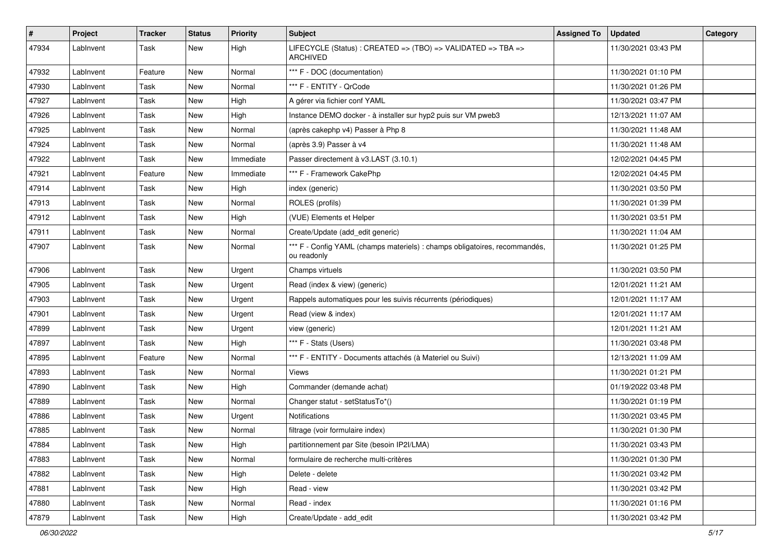| $\pmb{\#}$ | Project   | <b>Tracker</b> | <b>Status</b> | <b>Priority</b> | Subject                                                                                   | <b>Assigned To</b> | <b>Updated</b>      | Category |
|------------|-----------|----------------|---------------|-----------------|-------------------------------------------------------------------------------------------|--------------------|---------------------|----------|
| 47934      | LabInvent | Task           | New           | High            | LIFECYCLE (Status): CREATED => (TBO) => VALIDATED => TBA =><br><b>ARCHIVED</b>            |                    | 11/30/2021 03:43 PM |          |
| 47932      | LabInvent | Feature        | <b>New</b>    | Normal          | *** F - DOC (documentation)                                                               |                    | 11/30/2021 01:10 PM |          |
| 47930      | LabInvent | Task           | New           | Normal          | *** F - ENTITY - QrCode                                                                   |                    | 11/30/2021 01:26 PM |          |
| 47927      | LabInvent | Task           | <b>New</b>    | High            | A gérer via fichier conf YAML                                                             |                    | 11/30/2021 03:47 PM |          |
| 47926      | LabInvent | Task           | <b>New</b>    | High            | Instance DEMO docker - à installer sur hyp2 puis sur VM pweb3                             |                    | 12/13/2021 11:07 AM |          |
| 47925      | LabInvent | Task           | <b>New</b>    | Normal          | (après cakephp v4) Passer à Php 8                                                         |                    | 11/30/2021 11:48 AM |          |
| 47924      | LabInvent | Task           | New           | Normal          | (après 3.9) Passer à v4                                                                   |                    | 11/30/2021 11:48 AM |          |
| 47922      | LabInvent | Task           | New           | Immediate       | Passer directement à v3.LAST (3.10.1)                                                     |                    | 12/02/2021 04:45 PM |          |
| 47921      | LabInvent | Feature        | <b>New</b>    | Immediate       | *** F - Framework CakePhp                                                                 |                    | 12/02/2021 04:45 PM |          |
| 47914      | LabInvent | Task           | New           | High            | index (generic)                                                                           |                    | 11/30/2021 03:50 PM |          |
| 47913      | LabInvent | Task           | <b>New</b>    | Normal          | ROLES (profils)                                                                           |                    | 11/30/2021 01:39 PM |          |
| 47912      | LabInvent | Task           | New           | High            | (VUE) Elements et Helper                                                                  |                    | 11/30/2021 03:51 PM |          |
| 47911      | LabInvent | Task           | New           | Normal          | Create/Update (add_edit generic)                                                          |                    | 11/30/2021 11:04 AM |          |
| 47907      | LabInvent | Task           | New           | Normal          | *** F - Config YAML (champs materiels) : champs obligatoires, recommandés,<br>ou readonly |                    | 11/30/2021 01:25 PM |          |
| 47906      | LabInvent | Task           | New           | Urgent          | Champs virtuels                                                                           |                    | 11/30/2021 03:50 PM |          |
| 47905      | LabInvent | Task           | <b>New</b>    | Urgent          | Read (index & view) (generic)                                                             |                    | 12/01/2021 11:21 AM |          |
| 47903      | LabInvent | Task           | New           | Urgent          | Rappels automatiques pour les suivis récurrents (périodiques)                             |                    | 12/01/2021 11:17 AM |          |
| 47901      | LabInvent | Task           | <b>New</b>    | Urgent          | Read (view & index)                                                                       |                    | 12/01/2021 11:17 AM |          |
| 47899      | LabInvent | Task           | New           | Urgent          | view (generic)                                                                            |                    | 12/01/2021 11:21 AM |          |
| 47897      | LabInvent | Task           | <b>New</b>    | High            | *** F - Stats (Users)                                                                     |                    | 11/30/2021 03:48 PM |          |
| 47895      | LabInvent | Feature        | <b>New</b>    | Normal          | *** F - ENTITY - Documents attachés (à Materiel ou Suivi)                                 |                    | 12/13/2021 11:09 AM |          |
| 47893      | LabInvent | Task           | New           | Normal          | Views                                                                                     |                    | 11/30/2021 01:21 PM |          |
| 47890      | LabInvent | Task           | <b>New</b>    | High            | Commander (demande achat)                                                                 |                    | 01/19/2022 03:48 PM |          |
| 47889      | LabInvent | Task           | <b>New</b>    | Normal          | Changer statut - setStatusTo*()                                                           |                    | 11/30/2021 01:19 PM |          |
| 47886      | LabInvent | Task           | <b>New</b>    | Urgent          | <b>Notifications</b>                                                                      |                    | 11/30/2021 03:45 PM |          |
| 47885      | LabInvent | Task           | <b>New</b>    | Normal          | filtrage (voir formulaire index)                                                          |                    | 11/30/2021 01:30 PM |          |
| 47884      | LabInvent | Task           | New           | High            | partitionnement par Site (besoin IP2I/LMA)                                                |                    | 11/30/2021 03:43 PM |          |
| 47883      | LabInvent | Task           | New           | Normal          | formulaire de recherche multi-critères                                                    |                    | 11/30/2021 01:30 PM |          |
| 47882      | LabInvent | Task           | New           | High            | Delete - delete                                                                           |                    | 11/30/2021 03:42 PM |          |
| 47881      | LabInvent | Task           | New           | High            | Read - view                                                                               |                    | 11/30/2021 03:42 PM |          |
| 47880      | LabInvent | Task           | New           | Normal          | Read - index                                                                              |                    | 11/30/2021 01:16 PM |          |
| 47879      | LabInvent | Task           | New           | High            | Create/Update - add_edit                                                                  |                    | 11/30/2021 03:42 PM |          |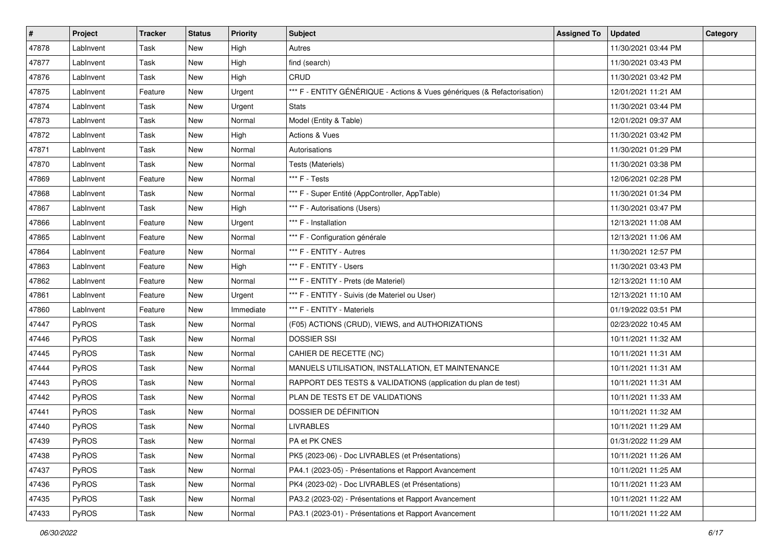| #     | Project      | <b>Tracker</b> | <b>Status</b> | <b>Priority</b> | <b>Subject</b>                                                           | <b>Assigned To</b> | <b>Updated</b>      | Category |
|-------|--------------|----------------|---------------|-----------------|--------------------------------------------------------------------------|--------------------|---------------------|----------|
| 47878 | LabInvent    | Task           | New           | High            | Autres                                                                   |                    | 11/30/2021 03:44 PM |          |
| 47877 | LabInvent    | Task           | New           | High            | find (search)                                                            |                    | 11/30/2021 03:43 PM |          |
| 47876 | LabInvent    | Task           | New           | High            | CRUD                                                                     |                    | 11/30/2021 03:42 PM |          |
| 47875 | LabInvent    | Feature        | New           | Urgent          | *** F - ENTITY GÉNÉRIQUE - Actions & Vues génériques (& Refactorisation) |                    | 12/01/2021 11:21 AM |          |
| 47874 | LabInvent    | Task           | New           | Urgent          | <b>Stats</b>                                                             |                    | 11/30/2021 03:44 PM |          |
| 47873 | LabInvent    | Task           | New           | Normal          | Model (Entity & Table)                                                   |                    | 12/01/2021 09:37 AM |          |
| 47872 | LabInvent    | Task           | <b>New</b>    | High            | <b>Actions &amp; Vues</b>                                                |                    | 11/30/2021 03:42 PM |          |
| 47871 | LabInvent    | Task           | New           | Normal          | Autorisations                                                            |                    | 11/30/2021 01:29 PM |          |
| 47870 | LabInvent    | Task           | New           | Normal          | Tests (Materiels)                                                        |                    | 11/30/2021 03:38 PM |          |
| 47869 | LabInvent    | Feature        | New           | Normal          | *** F - Tests                                                            |                    | 12/06/2021 02:28 PM |          |
| 47868 | LabInvent    | Task           | New           | Normal          | *** F - Super Entité (AppController, AppTable)                           |                    | 11/30/2021 01:34 PM |          |
| 47867 | LabInvent    | Task           | New           | High            | *** F - Autorisations (Users)                                            |                    | 11/30/2021 03:47 PM |          |
| 47866 | LabInvent    | Feature        | New           | Urgent          | *** F - Installation                                                     |                    | 12/13/2021 11:08 AM |          |
| 47865 | LabInvent    | Feature        | New           | Normal          | *** F - Configuration générale                                           |                    | 12/13/2021 11:06 AM |          |
| 47864 | LabInvent    | Feature        | New           | Normal          | *** F - ENTITY - Autres                                                  |                    | 11/30/2021 12:57 PM |          |
| 47863 | LabInvent    | Feature        | New           | High            | *** F - ENTITY - Users                                                   |                    | 11/30/2021 03:43 PM |          |
| 47862 | LabInvent    | Feature        | New           | Normal          | *** F - ENTITY - Prets (de Materiel)                                     |                    | 12/13/2021 11:10 AM |          |
| 47861 | LabInvent    | Feature        | New           | Urgent          | *** F - ENTITY - Suivis (de Materiel ou User)                            |                    | 12/13/2021 11:10 AM |          |
| 47860 | LabInvent    | Feature        | New           | Immediate       | *** F - ENTITY - Materiels                                               |                    | 01/19/2022 03:51 PM |          |
| 47447 | PyROS        | Task           | New           | Normal          | (F05) ACTIONS (CRUD), VIEWS, and AUTHORIZATIONS                          |                    | 02/23/2022 10:45 AM |          |
| 47446 | PyROS        | Task           | New           | Normal          | <b>DOSSIER SSI</b>                                                       |                    | 10/11/2021 11:32 AM |          |
| 47445 | PyROS        | Task           | New           | Normal          | CAHIER DE RECETTE (NC)                                                   |                    | 10/11/2021 11:31 AM |          |
| 47444 | PyROS        | Task           | New           | Normal          | MANUELS UTILISATION, INSTALLATION, ET MAINTENANCE                        |                    | 10/11/2021 11:31 AM |          |
| 47443 | PyROS        | Task           | New           | Normal          | RAPPORT DES TESTS & VALIDATIONS (application du plan de test)            |                    | 10/11/2021 11:31 AM |          |
| 47442 | PyROS        | Task           | New           | Normal          | PLAN DE TESTS ET DE VALIDATIONS                                          |                    | 10/11/2021 11:33 AM |          |
| 47441 | PyROS        | Task           | New           | Normal          | DOSSIER DE DÉFINITION                                                    |                    | 10/11/2021 11:32 AM |          |
| 47440 | PyROS        | Task           | New           | Normal          | <b>LIVRABLES</b>                                                         |                    | 10/11/2021 11:29 AM |          |
| 47439 | PyROS        | Task           | New           | Normal          | PA et PK CNES                                                            |                    | 01/31/2022 11:29 AM |          |
| 47438 | <b>PyROS</b> | Task           | New           | Normal          | PK5 (2023-06) - Doc LIVRABLES (et Présentations)                         |                    | 10/11/2021 11:26 AM |          |
| 47437 | PyROS        | Task           | New           | Normal          | PA4.1 (2023-05) - Présentations et Rapport Avancement                    |                    | 10/11/2021 11:25 AM |          |
| 47436 | PyROS        | Task           | New           | Normal          | PK4 (2023-02) - Doc LIVRABLES (et Présentations)                         |                    | 10/11/2021 11:23 AM |          |
| 47435 | PyROS        | Task           | New           | Normal          | PA3.2 (2023-02) - Présentations et Rapport Avancement                    |                    | 10/11/2021 11:22 AM |          |
| 47433 | PyROS        | Task           | New           | Normal          | PA3.1 (2023-01) - Présentations et Rapport Avancement                    |                    | 10/11/2021 11:22 AM |          |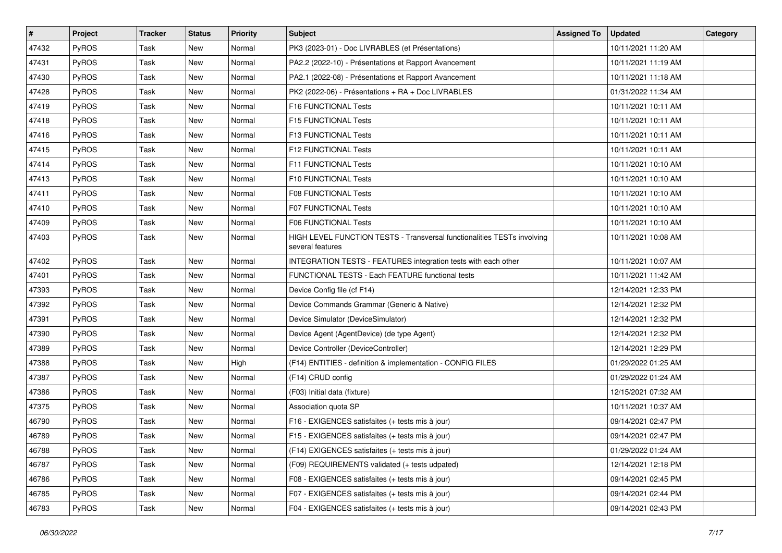| #     | Project      | <b>Tracker</b> | <b>Status</b> | <b>Priority</b> | Subject                                                                                     | <b>Assigned To</b> | <b>Updated</b>      | Category |
|-------|--------------|----------------|---------------|-----------------|---------------------------------------------------------------------------------------------|--------------------|---------------------|----------|
| 47432 | PyROS        | Task           | <b>New</b>    | Normal          | PK3 (2023-01) - Doc LIVRABLES (et Présentations)                                            |                    | 10/11/2021 11:20 AM |          |
| 47431 | PyROS        | Task           | <b>New</b>    | Normal          | PA2.2 (2022-10) - Présentations et Rapport Avancement                                       |                    | 10/11/2021 11:19 AM |          |
| 47430 | <b>PyROS</b> | Task           | New           | Normal          | PA2.1 (2022-08) - Présentations et Rapport Avancement                                       |                    | 10/11/2021 11:18 AM |          |
| 47428 | PyROS        | Task           | New           | Normal          | PK2 (2022-06) - Présentations + RA + Doc LIVRABLES                                          |                    | 01/31/2022 11:34 AM |          |
| 47419 | PyROS        | Task           | <b>New</b>    | Normal          | <b>F16 FUNCTIONAL Tests</b>                                                                 |                    | 10/11/2021 10:11 AM |          |
| 47418 | PyROS        | Task           | New           | Normal          | F15 FUNCTIONAL Tests                                                                        |                    | 10/11/2021 10:11 AM |          |
| 47416 | PyROS        | Task           | <b>New</b>    | Normal          | F13 FUNCTIONAL Tests                                                                        |                    | 10/11/2021 10:11 AM |          |
| 47415 | <b>PyROS</b> | Task           | New           | Normal          | <b>F12 FUNCTIONAL Tests</b>                                                                 |                    | 10/11/2021 10:11 AM |          |
| 47414 | PyROS        | Task           | New           | Normal          | F11 FUNCTIONAL Tests                                                                        |                    | 10/11/2021 10:10 AM |          |
| 47413 | PyROS        | Task           | New           | Normal          | F10 FUNCTIONAL Tests                                                                        |                    | 10/11/2021 10:10 AM |          |
| 47411 | PyROS        | Task           | New           | Normal          | <b>F08 FUNCTIONAL Tests</b>                                                                 |                    | 10/11/2021 10:10 AM |          |
| 47410 | PyROS        | Task           | <b>New</b>    | Normal          | <b>F07 FUNCTIONAL Tests</b>                                                                 |                    | 10/11/2021 10:10 AM |          |
| 47409 | PyROS        | Task           | New           | Normal          | F06 FUNCTIONAL Tests                                                                        |                    | 10/11/2021 10:10 AM |          |
| 47403 | PyROS        | Task           | New           | Normal          | HIGH LEVEL FUNCTION TESTS - Transversal functionalities TESTs involving<br>several features |                    | 10/11/2021 10:08 AM |          |
| 47402 | PyROS        | Task           | <b>New</b>    | Normal          | INTEGRATION TESTS - FEATURES integration tests with each other                              |                    | 10/11/2021 10:07 AM |          |
| 47401 | PyROS        | Task           | New           | Normal          | FUNCTIONAL TESTS - Each FEATURE functional tests                                            |                    | 10/11/2021 11:42 AM |          |
| 47393 | PyROS        | Task           | New           | Normal          | Device Config file (cf F14)                                                                 |                    | 12/14/2021 12:33 PM |          |
| 47392 | PyROS        | Task           | New           | Normal          | Device Commands Grammar (Generic & Native)                                                  |                    | 12/14/2021 12:32 PM |          |
| 47391 | PyROS        | Task           | <b>New</b>    | Normal          | Device Simulator (DeviceSimulator)                                                          |                    | 12/14/2021 12:32 PM |          |
| 47390 | PyROS        | Task           | New           | Normal          | Device Agent (AgentDevice) (de type Agent)                                                  |                    | 12/14/2021 12:32 PM |          |
| 47389 | PyROS        | Task           | New           | Normal          | Device Controller (DeviceController)                                                        |                    | 12/14/2021 12:29 PM |          |
| 47388 | PyROS        | Task           | <b>New</b>    | High            | (F14) ENTITIES - definition & implementation - CONFIG FILES                                 |                    | 01/29/2022 01:25 AM |          |
| 47387 | PyROS        | Task           | New           | Normal          | (F14) CRUD config                                                                           |                    | 01/29/2022 01:24 AM |          |
| 47386 | PyROS        | Task           | New           | Normal          | (F03) Initial data (fixture)                                                                |                    | 12/15/2021 07:32 AM |          |
| 47375 | PyROS        | Task           | New           | Normal          | Association quota SP                                                                        |                    | 10/11/2021 10:37 AM |          |
| 46790 | PyROS        | Task           | New           | Normal          | F16 - EXIGENCES satisfaites (+ tests mis à jour)                                            |                    | 09/14/2021 02:47 PM |          |
| 46789 | PyROS        | Task           | New           | Normal          | F15 - EXIGENCES satisfaites (+ tests mis à jour)                                            |                    | 09/14/2021 02:47 PM |          |
| 46788 | PyROS        | Task           | New           | Normal          | (F14) EXIGENCES satisfaites (+ tests mis à jour)                                            |                    | 01/29/2022 01:24 AM |          |
| 46787 | PyROS        | Task           | New           | Normal          | (F09) REQUIREMENTS validated (+ tests udpated)                                              |                    | 12/14/2021 12:18 PM |          |
| 46786 | PyROS        | Task           | New           | Normal          | F08 - EXIGENCES satisfaites (+ tests mis à jour)                                            |                    | 09/14/2021 02:45 PM |          |
| 46785 | PyROS        | Task           | New           | Normal          | F07 - EXIGENCES satisfaites (+ tests mis à jour)                                            |                    | 09/14/2021 02:44 PM |          |
| 46783 | PyROS        | Task           | New           | Normal          | F04 - EXIGENCES satisfaites (+ tests mis à jour)                                            |                    | 09/14/2021 02:43 PM |          |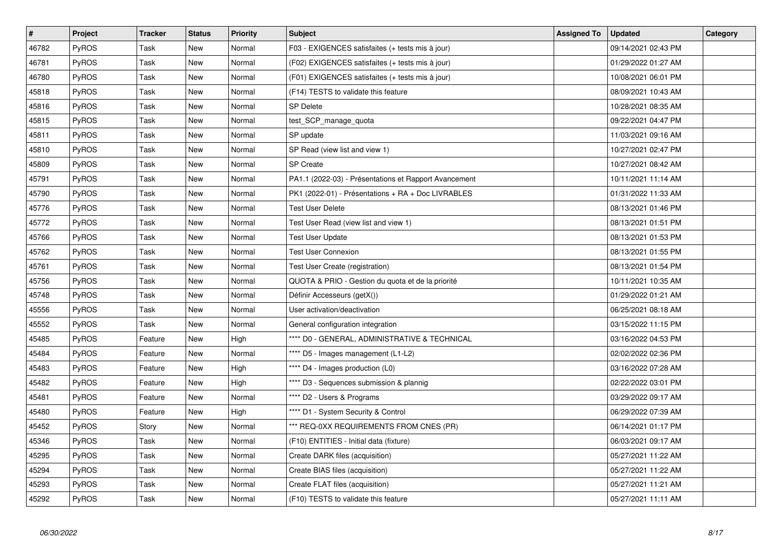| $\vert$ # | Project      | <b>Tracker</b> | <b>Status</b> | <b>Priority</b> | <b>Subject</b>                                        | <b>Assigned To</b> | <b>Updated</b>      | Category |
|-----------|--------------|----------------|---------------|-----------------|-------------------------------------------------------|--------------------|---------------------|----------|
| 46782     | PyROS        | Task           | New           | Normal          | F03 - EXIGENCES satisfaites (+ tests mis à jour)      |                    | 09/14/2021 02:43 PM |          |
| 46781     | PyROS        | Task           | <b>New</b>    | Normal          | (F02) EXIGENCES satisfaites (+ tests mis à jour)      |                    | 01/29/2022 01:27 AM |          |
| 46780     | <b>PyROS</b> | Task           | New           | Normal          | (F01) EXIGENCES satisfaites (+ tests mis à jour)      |                    | 10/08/2021 06:01 PM |          |
| 45818     | PyROS        | Task           | New           | Normal          | (F14) TESTS to validate this feature                  |                    | 08/09/2021 10:43 AM |          |
| 45816     | PyROS        | Task           | <b>New</b>    | Normal          | <b>SP Delete</b>                                      |                    | 10/28/2021 08:35 AM |          |
| 45815     | PyROS        | Task           | <b>New</b>    | Normal          | test_SCP_manage_quota                                 |                    | 09/22/2021 04:47 PM |          |
| 45811     | PyROS        | Task           | New           | Normal          | SP update                                             |                    | 11/03/2021 09:16 AM |          |
| 45810     | PyROS        | Task           | New           | Normal          | SP Read (view list and view 1)                        |                    | 10/27/2021 02:47 PM |          |
| 45809     | PyROS        | Task           | New           | Normal          | SP Create                                             |                    | 10/27/2021 08:42 AM |          |
| 45791     | PyROS        | Task           | <b>New</b>    | Normal          | PA1.1 (2022-03) - Présentations et Rapport Avancement |                    | 10/11/2021 11:14 AM |          |
| 45790     | PyROS        | Task           | New           | Normal          | PK1 (2022-01) - Présentations + RA + Doc LIVRABLES    |                    | 01/31/2022 11:33 AM |          |
| 45776     | PyROS        | Task           | New           | Normal          | <b>Test User Delete</b>                               |                    | 08/13/2021 01:46 PM |          |
| 45772     | PyROS        | Task           | <b>New</b>    | Normal          | Test User Read (view list and view 1)                 |                    | 08/13/2021 01:51 PM |          |
| 45766     | PyROS        | Task           | New           | Normal          | <b>Test User Update</b>                               |                    | 08/13/2021 01:53 PM |          |
| 45762     | PyROS        | Task           | New           | Normal          | <b>Test User Connexion</b>                            |                    | 08/13/2021 01:55 PM |          |
| 45761     | PyROS        | Task           | New           | Normal          | Test User Create (registration)                       |                    | 08/13/2021 01:54 PM |          |
| 45756     | <b>PyROS</b> | Task           | New           | Normal          | QUOTA & PRIO - Gestion du quota et de la priorité     |                    | 10/11/2021 10:35 AM |          |
| 45748     | PyROS        | Task           | <b>New</b>    | Normal          | Définir Accesseurs (getX())                           |                    | 01/29/2022 01:21 AM |          |
| 45556     | <b>PyROS</b> | Task           | New           | Normal          | User activation/deactivation                          |                    | 06/25/2021 08:18 AM |          |
| 45552     | PyROS        | Task           | New           | Normal          | General configuration integration                     |                    | 03/15/2022 11:15 PM |          |
| 45485     | PyROS        | Feature        | New           | High            | **** D0 - GENERAL, ADMINISTRATIVE & TECHNICAL         |                    | 03/16/2022 04:53 PM |          |
| 45484     | <b>PyROS</b> | Feature        | New           | Normal          | **** D5 - Images management (L1-L2)                   |                    | 02/02/2022 02:36 PM |          |
| 45483     | PyROS        | Feature        | New           | High            | **** D4 - Images production (L0)                      |                    | 03/16/2022 07:28 AM |          |
| 45482     | <b>PyROS</b> | Feature        | New           | High            | **** D3 - Sequences submission & plannig              |                    | 02/22/2022 03:01 PM |          |
| 45481     | <b>PyROS</b> | Feature        | New           | Normal          | **** D2 - Users & Programs                            |                    | 03/29/2022 09:17 AM |          |
| 45480     | PyROS        | Feature        | New           | High            | **** D1 - System Security & Control                   |                    | 06/29/2022 07:39 AM |          |
| 45452     | PyROS        | Story          | <b>New</b>    | Normal          | *** REQ-0XX REQUIREMENTS FROM CNES (PR)               |                    | 06/14/2021 01:17 PM |          |
| 45346     | PyROS        | Task           | New           | Normal          | (F10) ENTITIES - Initial data (fixture)               |                    | 06/03/2021 09:17 AM |          |
| 45295     | PyROS        | Task           | <b>New</b>    | Normal          | Create DARK files (acquisition)                       |                    | 05/27/2021 11:22 AM |          |
| 45294     | PyROS        | Task           | <b>New</b>    | Normal          | Create BIAS files (acquisition)                       |                    | 05/27/2021 11:22 AM |          |
| 45293     | PyROS        | Task           | New           | Normal          | Create FLAT files (acquisition)                       |                    | 05/27/2021 11:21 AM |          |
| 45292     | PyROS        | Task           | <b>New</b>    | Normal          | (F10) TESTS to validate this feature                  |                    | 05/27/2021 11:11 AM |          |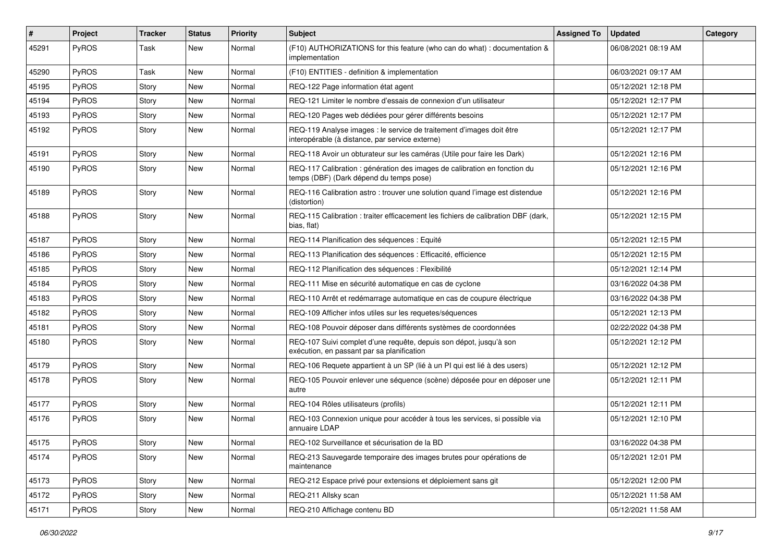| #     | Project | <b>Tracker</b> | <b>Status</b> | <b>Priority</b> | Subject                                                                                                                 | <b>Assigned To</b> | <b>Updated</b>      | Category |
|-------|---------|----------------|---------------|-----------------|-------------------------------------------------------------------------------------------------------------------------|--------------------|---------------------|----------|
| 45291 | PyROS   | Task           | New           | Normal          | (F10) AUTHORIZATIONS for this feature (who can do what) : documentation &<br>implementation                             |                    | 06/08/2021 08:19 AM |          |
| 45290 | PyROS   | Task           | New           | Normal          | (F10) ENTITIES - definition & implementation                                                                            |                    | 06/03/2021 09:17 AM |          |
| 45195 | PyROS   | Story          | New           | Normal          | REQ-122 Page information état agent                                                                                     |                    | 05/12/2021 12:18 PM |          |
| 45194 | PyROS   | Story          | New           | Normal          | REQ-121 Limiter le nombre d'essais de connexion d'un utilisateur                                                        |                    | 05/12/2021 12:17 PM |          |
| 45193 | PyROS   | Story          | New           | Normal          | REQ-120 Pages web dédiées pour gérer différents besoins                                                                 |                    | 05/12/2021 12:17 PM |          |
| 45192 | PyROS   | Story          | New           | Normal          | REQ-119 Analyse images : le service de traitement d'images doit être<br>interopérable (à distance, par service externe) |                    | 05/12/2021 12:17 PM |          |
| 45191 | PyROS   | Story          | New           | Normal          | REQ-118 Avoir un obturateur sur les caméras (Utile pour faire les Dark)                                                 |                    | 05/12/2021 12:16 PM |          |
| 45190 | PyROS   | Story          | New           | Normal          | REQ-117 Calibration : génération des images de calibration en fonction du<br>temps (DBF) (Dark dépend du temps pose)    |                    | 05/12/2021 12:16 PM |          |
| 45189 | PyROS   | Story          | New           | Normal          | REQ-116 Calibration astro: trouver une solution quand l'image est distendue<br>(distortion)                             |                    | 05/12/2021 12:16 PM |          |
| 45188 | PyROS   | Story          | New           | Normal          | REQ-115 Calibration : traiter efficacement les fichiers de calibration DBF (dark,<br>bias, flat)                        |                    | 05/12/2021 12:15 PM |          |
| 45187 | PyROS   | Story          | New           | Normal          | REQ-114 Planification des séquences : Equité                                                                            |                    | 05/12/2021 12:15 PM |          |
| 45186 | PyROS   | Story          | New           | Normal          | REQ-113 Planification des séquences : Efficacité, efficience                                                            |                    | 05/12/2021 12:15 PM |          |
| 45185 | PyROS   | Story          | New           | Normal          | REQ-112 Planification des séquences : Flexibilité                                                                       |                    | 05/12/2021 12:14 PM |          |
| 45184 | PyROS   | Story          | New           | Normal          | REQ-111 Mise en sécurité automatique en cas de cyclone                                                                  |                    | 03/16/2022 04:38 PM |          |
| 45183 | PyROS   | Story          | New           | Normal          | REQ-110 Arrêt et redémarrage automatique en cas de coupure électrique                                                   |                    | 03/16/2022 04:38 PM |          |
| 45182 | PyROS   | Story          | New           | Normal          | REQ-109 Afficher infos utiles sur les requetes/séquences                                                                |                    | 05/12/2021 12:13 PM |          |
| 45181 | PyROS   | Story          | New           | Normal          | REQ-108 Pouvoir déposer dans différents systèmes de coordonnées                                                         |                    | 02/22/2022 04:38 PM |          |
| 45180 | PyROS   | Story          | New           | Normal          | REQ-107 Suivi complet d'une requête, depuis son dépot, jusqu'à son<br>exécution, en passant par sa planification        |                    | 05/12/2021 12:12 PM |          |
| 45179 | PyROS   | Story          | New           | Normal          | REQ-106 Requete appartient à un SP (lié à un PI qui est lié à des users)                                                |                    | 05/12/2021 12:12 PM |          |
| 45178 | PyROS   | Story          | New           | Normal          | REQ-105 Pouvoir enlever une séquence (scène) déposée pour en déposer une<br>autre                                       |                    | 05/12/2021 12:11 PM |          |
| 45177 | PyROS   | Story          | New           | Normal          | REQ-104 Rôles utilisateurs (profils)                                                                                    |                    | 05/12/2021 12:11 PM |          |
| 45176 | PyROS   | Story          | New           | Normal          | REQ-103 Connexion unique pour accéder à tous les services, si possible via<br>annuaire LDAP                             |                    | 05/12/2021 12:10 PM |          |
| 45175 | PyROS   | Story          | New           | Normal          | REQ-102 Surveillance et sécurisation de la BD                                                                           |                    | 03/16/2022 04:38 PM |          |
| 45174 | PyROS   | Story          | New           | Normal          | REQ-213 Sauvegarde temporaire des images brutes pour opérations de<br>maintenance                                       |                    | 05/12/2021 12:01 PM |          |
| 45173 | PyROS   | Story          | New           | Normal          | REQ-212 Espace privé pour extensions et déploiement sans git                                                            |                    | 05/12/2021 12:00 PM |          |
| 45172 | PyROS   | Story          | New           | Normal          | REQ-211 Allsky scan                                                                                                     |                    | 05/12/2021 11:58 AM |          |
| 45171 | PyROS   | Story          | New           | Normal          | REQ-210 Affichage contenu BD                                                                                            |                    | 05/12/2021 11:58 AM |          |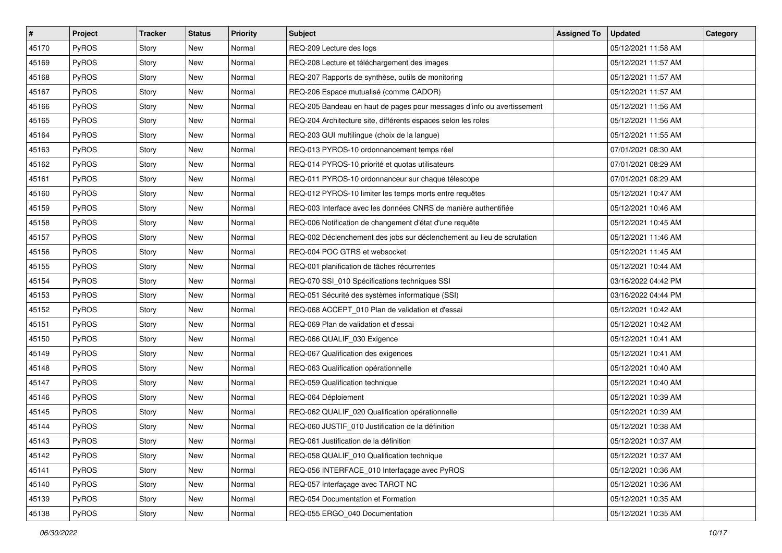| #     | Project      | <b>Tracker</b> | <b>Status</b> | <b>Priority</b> | Subject                                                                | <b>Assigned To</b> | <b>Updated</b>      | Category |
|-------|--------------|----------------|---------------|-----------------|------------------------------------------------------------------------|--------------------|---------------------|----------|
| 45170 | PyROS        | Story          | <b>New</b>    | Normal          | REQ-209 Lecture des logs                                               |                    | 05/12/2021 11:58 AM |          |
| 45169 | PyROS        | Story          | New           | Normal          | REQ-208 Lecture et téléchargement des images                           |                    | 05/12/2021 11:57 AM |          |
| 45168 | <b>PyROS</b> | Story          | New           | Normal          | REQ-207 Rapports de synthèse, outils de monitoring                     |                    | 05/12/2021 11:57 AM |          |
| 45167 | PyROS        | Story          | New           | Normal          | REQ-206 Espace mutualisé (comme CADOR)                                 |                    | 05/12/2021 11:57 AM |          |
| 45166 | <b>PyROS</b> | Story          | New           | Normal          | REQ-205 Bandeau en haut de pages pour messages d'info ou avertissement |                    | 05/12/2021 11:56 AM |          |
| 45165 | PyROS        | Story          | New           | Normal          | REQ-204 Architecture site, différents espaces selon les roles          |                    | 05/12/2021 11:56 AM |          |
| 45164 | PyROS        | Story          | New           | Normal          | REQ-203 GUI multilingue (choix de la langue)                           |                    | 05/12/2021 11:55 AM |          |
| 45163 | <b>PyROS</b> | Story          | New           | Normal          | REQ-013 PYROS-10 ordonnancement temps réel                             |                    | 07/01/2021 08:30 AM |          |
| 45162 | PyROS        | Story          | New           | Normal          | REQ-014 PYROS-10 priorité et quotas utilisateurs                       |                    | 07/01/2021 08:29 AM |          |
| 45161 | <b>PyROS</b> | Story          | New           | Normal          | REQ-011 PYROS-10 ordonnanceur sur chaque télescope                     |                    | 07/01/2021 08:29 AM |          |
| 45160 | <b>PyROS</b> | Story          | New           | Normal          | REQ-012 PYROS-10 limiter les temps morts entre requêtes                |                    | 05/12/2021 10:47 AM |          |
| 45159 | PyROS        | Story          | New           | Normal          | REQ-003 Interface avec les données CNRS de manière authentifiée        |                    | 05/12/2021 10:46 AM |          |
| 45158 | PyROS        | Story          | New           | Normal          | REQ-006 Notification de changement d'état d'une requête                |                    | 05/12/2021 10:45 AM |          |
| 45157 | PyROS        | Story          | New           | Normal          | REQ-002 Déclenchement des jobs sur déclenchement au lieu de scrutation |                    | 05/12/2021 11:46 AM |          |
| 45156 | PyROS        | Story          | New           | Normal          | REQ-004 POC GTRS et websocket                                          |                    | 05/12/2021 11:45 AM |          |
| 45155 | <b>PyROS</b> | Story          | New           | Normal          | REQ-001 planification de tâches récurrentes                            |                    | 05/12/2021 10:44 AM |          |
| 45154 | PyROS        | Story          | New           | Normal          | REQ-070 SSI_010 Spécifications techniques SSI                          |                    | 03/16/2022 04:42 PM |          |
| 45153 | PyROS        | Story          | New           | Normal          | REQ-051 Sécurité des systèmes informatique (SSI)                       |                    | 03/16/2022 04:44 PM |          |
| 45152 | PyROS        | Story          | New           | Normal          | REQ-068 ACCEPT_010 Plan de validation et d'essai                       |                    | 05/12/2021 10:42 AM |          |
| 45151 | PyROS        | Story          | New           | Normal          | REQ-069 Plan de validation et d'essai                                  |                    | 05/12/2021 10:42 AM |          |
| 45150 | <b>PyROS</b> | Story          | New           | Normal          | REQ-066 QUALIF_030 Exigence                                            |                    | 05/12/2021 10:41 AM |          |
| 45149 | PyROS        | Story          | New           | Normal          | REQ-067 Qualification des exigences                                    |                    | 05/12/2021 10:41 AM |          |
| 45148 | <b>PyROS</b> | Story          | New           | Normal          | REQ-063 Qualification opérationnelle                                   |                    | 05/12/2021 10:40 AM |          |
| 45147 | <b>PyROS</b> | Story          | New           | Normal          | REQ-059 Qualification technique                                        |                    | 05/12/2021 10:40 AM |          |
| 45146 | PyROS        | Story          | New           | Normal          | REQ-064 Déploiement                                                    |                    | 05/12/2021 10:39 AM |          |
| 45145 | <b>PyROS</b> | Story          | New           | Normal          | REQ-062 QUALIF_020 Qualification opérationnelle                        |                    | 05/12/2021 10:39 AM |          |
| 45144 | <b>PyROS</b> | Story          | New           | Normal          | REQ-060 JUSTIF_010 Justification de la définition                      |                    | 05/12/2021 10:38 AM |          |
| 45143 | PyROS        | Story          | New           | Normal          | REQ-061 Justification de la définition                                 |                    | 05/12/2021 10:37 AM |          |
| 45142 | <b>PyROS</b> | Story          | New           | Normal          | REQ-058 QUALIF 010 Qualification technique                             |                    | 05/12/2021 10:37 AM |          |
| 45141 | PyROS        | Story          | New           | Normal          | REQ-056 INTERFACE 010 Interfaçage avec PyROS                           |                    | 05/12/2021 10:36 AM |          |
| 45140 | PyROS        | Story          | New           | Normal          | REQ-057 Interfaçage avec TAROT NC                                      |                    | 05/12/2021 10:36 AM |          |
| 45139 | PyROS        | Story          | New           | Normal          | REQ-054 Documentation et Formation                                     |                    | 05/12/2021 10:35 AM |          |
| 45138 | PyROS        | Story          | New           | Normal          | REQ-055 ERGO_040 Documentation                                         |                    | 05/12/2021 10:35 AM |          |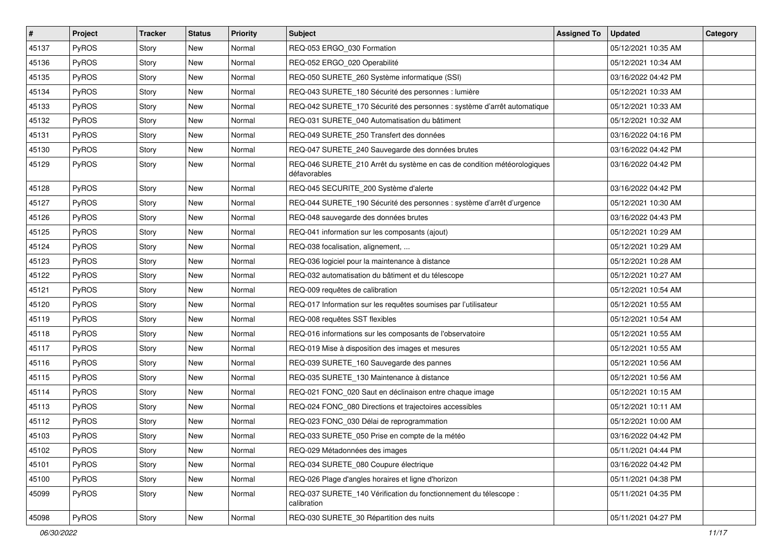| $\vert$ # | Project      | <b>Tracker</b> | <b>Status</b> | <b>Priority</b> | Subject                                                                                 | <b>Assigned To</b> | <b>Updated</b>      | Category |
|-----------|--------------|----------------|---------------|-----------------|-----------------------------------------------------------------------------------------|--------------------|---------------------|----------|
| 45137     | PyROS        | Story          | <b>New</b>    | Normal          | REQ-053 ERGO_030 Formation                                                              |                    | 05/12/2021 10:35 AM |          |
| 45136     | PyROS        | Story          | New           | Normal          | REQ-052 ERGO_020 Operabilité                                                            |                    | 05/12/2021 10:34 AM |          |
| 45135     | <b>PyROS</b> | Story          | New           | Normal          | REQ-050 SURETE 260 Système informatique (SSI)                                           |                    | 03/16/2022 04:42 PM |          |
| 45134     | PyROS        | Story          | New           | Normal          | REQ-043 SURETE 180 Sécurité des personnes : lumière                                     |                    | 05/12/2021 10:33 AM |          |
| 45133     | PyROS        | Story          | New           | Normal          | REQ-042 SURETE_170 Sécurité des personnes : système d'arrêt automatique                 |                    | 05/12/2021 10:33 AM |          |
| 45132     | PyROS        | Story          | New           | Normal          | REQ-031 SURETE 040 Automatisation du bâtiment                                           |                    | 05/12/2021 10:32 AM |          |
| 45131     | PyROS        | Story          | <b>New</b>    | Normal          | REQ-049 SURETE 250 Transfert des données                                                |                    | 03/16/2022 04:16 PM |          |
| 45130     | <b>PyROS</b> | Story          | New           | Normal          | REQ-047 SURETE_240 Sauvegarde des données brutes                                        |                    | 03/16/2022 04:42 PM |          |
| 45129     | PyROS        | Story          | New           | Normal          | REQ-046 SURETE_210 Arrêt du système en cas de condition météorologiques<br>défavorables |                    | 03/16/2022 04:42 PM |          |
| 45128     | PyROS        | Story          | New           | Normal          | REQ-045 SECURITE_200 Système d'alerte                                                   |                    | 03/16/2022 04:42 PM |          |
| 45127     | PyROS        | Story          | New           | Normal          | REQ-044 SURETE_190 Sécurité des personnes : système d'arrêt d'urgence                   |                    | 05/12/2021 10:30 AM |          |
| 45126     | PyROS        | Story          | New           | Normal          | REQ-048 sauvegarde des données brutes                                                   |                    | 03/16/2022 04:43 PM |          |
| 45125     | PyROS        | Story          | New           | Normal          | REQ-041 information sur les composants (ajout)                                          |                    | 05/12/2021 10:29 AM |          |
| 45124     | PyROS        | Story          | <b>New</b>    | Normal          | REQ-038 focalisation, alignement,                                                       |                    | 05/12/2021 10:29 AM |          |
| 45123     | PyROS        | Story          | New           | Normal          | REQ-036 logiciel pour la maintenance à distance                                         |                    | 05/12/2021 10:28 AM |          |
| 45122     | PyROS        | Story          | New           | Normal          | REQ-032 automatisation du bâtiment et du télescope                                      |                    | 05/12/2021 10:27 AM |          |
| 45121     | PyROS        | Story          | New           | Normal          | REQ-009 requêtes de calibration                                                         |                    | 05/12/2021 10:54 AM |          |
| 45120     | PyROS        | Story          | New           | Normal          | REQ-017 Information sur les requêtes soumises par l'utilisateur                         |                    | 05/12/2021 10:55 AM |          |
| 45119     | PyROS        | Story          | New           | Normal          | REQ-008 requêtes SST flexibles                                                          |                    | 05/12/2021 10:54 AM |          |
| 45118     | <b>PyROS</b> | Story          | New           | Normal          | REQ-016 informations sur les composants de l'observatoire                               |                    | 05/12/2021 10:55 AM |          |
| 45117     | PyROS        | Story          | New           | Normal          | REQ-019 Mise à disposition des images et mesures                                        |                    | 05/12/2021 10:55 AM |          |
| 45116     | PyROS        | Story          | New           | Normal          | REQ-039 SURETE_160 Sauvegarde des pannes                                                |                    | 05/12/2021 10:56 AM |          |
| 45115     | PyROS        | Story          | New           | Normal          | REQ-035 SURETE_130 Maintenance à distance                                               |                    | 05/12/2021 10:56 AM |          |
| 45114     | PyROS        | Story          | New           | Normal          | REQ-021 FONC_020 Saut en déclinaison entre chaque image                                 |                    | 05/12/2021 10:15 AM |          |
| 45113     | <b>PyROS</b> | Story          | New           | Normal          | REQ-024 FONC_080 Directions et trajectoires accessibles                                 |                    | 05/12/2021 10:11 AM |          |
| 45112     | PyROS        | Story          | New           | Normal          | REQ-023 FONC_030 Délai de reprogrammation                                               |                    | 05/12/2021 10:00 AM |          |
| 45103     | PyROS        | Story          | New           | Normal          | REQ-033 SURETE_050 Prise en compte de la météo                                          |                    | 03/16/2022 04:42 PM |          |
| 45102     | PyROS        | Story          | New           | Normal          | REQ-029 Métadonnées des images                                                          |                    | 05/11/2021 04:44 PM |          |
| 45101     | PyROS        | Story          | New           | Normal          | REQ-034 SURETE_080 Coupure électrique                                                   |                    | 03/16/2022 04:42 PM |          |
| 45100     | PyROS        | Story          | New           | Normal          | REQ-026 Plage d'angles horaires et ligne d'horizon                                      |                    | 05/11/2021 04:38 PM |          |
| 45099     | PyROS        | Story          | New           | Normal          | REQ-037 SURETE_140 Vérification du fonctionnement du télescope :<br>calibration         |                    | 05/11/2021 04:35 PM |          |
| 45098     | PyROS        | Story          | New           | Normal          | REQ-030 SURETE_30 Répartition des nuits                                                 |                    | 05/11/2021 04:27 PM |          |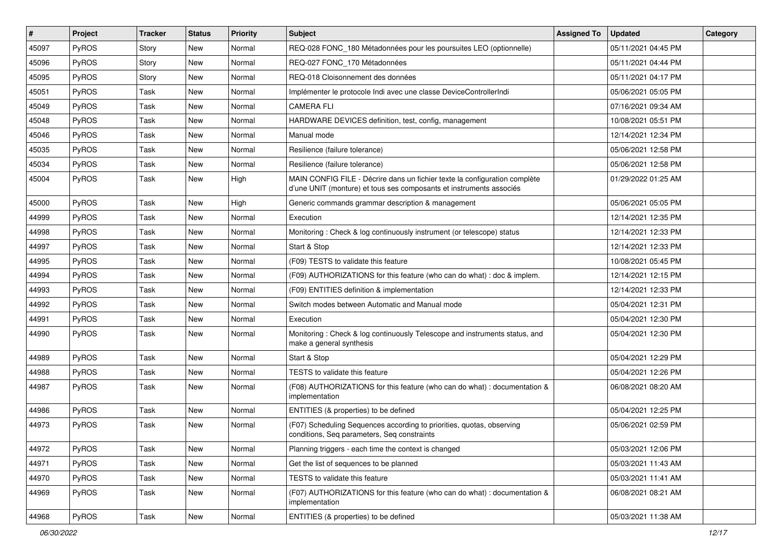| $\sharp$ | Project      | <b>Tracker</b> | <b>Status</b> | <b>Priority</b> | Subject                                                                                                                                           | <b>Assigned To</b> | <b>Updated</b>      | Category |
|----------|--------------|----------------|---------------|-----------------|---------------------------------------------------------------------------------------------------------------------------------------------------|--------------------|---------------------|----------|
| 45097    | PyROS        | Story          | <b>New</b>    | Normal          | REQ-028 FONC_180 Métadonnées pour les poursuites LEO (optionnelle)                                                                                |                    | 05/11/2021 04:45 PM |          |
| 45096    | PyROS        | Story          | <b>New</b>    | Normal          | REQ-027 FONC_170 Métadonnées                                                                                                                      |                    | 05/11/2021 04:44 PM |          |
| 45095    | <b>PyROS</b> | Story          | New           | Normal          | REQ-018 Cloisonnement des données                                                                                                                 |                    | 05/11/2021 04:17 PM |          |
| 45051    | PyROS        | Task           | New           | Normal          | Implémenter le protocole Indi avec une classe DeviceControllerIndi                                                                                |                    | 05/06/2021 05:05 PM |          |
| 45049    | PyROS        | Task           | <b>New</b>    | Normal          | <b>CAMERA FLI</b>                                                                                                                                 |                    | 07/16/2021 09:34 AM |          |
| 45048    | PyROS        | Task           | New           | Normal          | HARDWARE DEVICES definition, test, config, management                                                                                             |                    | 10/08/2021 05:51 PM |          |
| 45046    | PyROS        | Task           | <b>New</b>    | Normal          | Manual mode                                                                                                                                       |                    | 12/14/2021 12:34 PM |          |
| 45035    | PyROS        | Task           | New           | Normal          | Resilience (failure tolerance)                                                                                                                    |                    | 05/06/2021 12:58 PM |          |
| 45034    | PyROS        | Task           | New           | Normal          | Resilience (failure tolerance)                                                                                                                    |                    | 05/06/2021 12:58 PM |          |
| 45004    | PyROS        | Task           | New           | High            | MAIN CONFIG FILE - Décrire dans un fichier texte la configuration complète<br>d'une UNIT (monture) et tous ses composants et instruments associés |                    | 01/29/2022 01:25 AM |          |
| 45000    | PyROS        | Task           | <b>New</b>    | High            | Generic commands grammar description & management                                                                                                 |                    | 05/06/2021 05:05 PM |          |
| 44999    | PyROS        | Task           | New           | Normal          | Execution                                                                                                                                         |                    | 12/14/2021 12:35 PM |          |
| 44998    | PyROS        | Task           | New           | Normal          | Monitoring: Check & log continuously instrument (or telescope) status                                                                             |                    | 12/14/2021 12:33 PM |          |
| 44997    | PyROS        | Task           | <b>New</b>    | Normal          | Start & Stop                                                                                                                                      |                    | 12/14/2021 12:33 PM |          |
| 44995    | PyROS        | Task           | <b>New</b>    | Normal          | (F09) TESTS to validate this feature                                                                                                              |                    | 10/08/2021 05:45 PM |          |
| 44994    | PyROS        | Task           | New           | Normal          | (F09) AUTHORIZATIONS for this feature (who can do what) : doc & implem.                                                                           |                    | 12/14/2021 12:15 PM |          |
| 44993    | PyROS        | Task           | New           | Normal          | (F09) ENTITIES definition & implementation                                                                                                        |                    | 12/14/2021 12:33 PM |          |
| 44992    | <b>PyROS</b> | Task           | New           | Normal          | Switch modes between Automatic and Manual mode                                                                                                    |                    | 05/04/2021 12:31 PM |          |
| 44991    | PyROS        | Task           | <b>New</b>    | Normal          | Execution                                                                                                                                         |                    | 05/04/2021 12:30 PM |          |
| 44990    | PyROS        | Task           | New           | Normal          | Monitoring: Check & log continuously Telescope and instruments status, and<br>make a general synthesis                                            |                    | 05/04/2021 12:30 PM |          |
| 44989    | PyROS        | Task           | <b>New</b>    | Normal          | Start & Stop                                                                                                                                      |                    | 05/04/2021 12:29 PM |          |
| 44988    | PyROS        | Task           | <b>New</b>    | Normal          | TESTS to validate this feature                                                                                                                    |                    | 05/04/2021 12:26 PM |          |
| 44987    | PyROS        | Task           | New           | Normal          | (F08) AUTHORIZATIONS for this feature (who can do what) : documentation &<br>implementation                                                       |                    | 06/08/2021 08:20 AM |          |
| 44986    | <b>PyROS</b> | Task           | <b>New</b>    | Normal          | ENTITIES (& properties) to be defined                                                                                                             |                    | 05/04/2021 12:25 PM |          |
| 44973    | PyROS        | Task           | New           | Normal          | (F07) Scheduling Sequences according to priorities, quotas, observing<br>conditions, Seq parameters, Seq constraints                              |                    | 05/06/2021 02:59 PM |          |
| 44972    | PyROS        | Task           | New           | Normal          | Planning triggers - each time the context is changed                                                                                              |                    | 05/03/2021 12:06 PM |          |
| 44971    | PyROS        | Task           | New           | Normal          | Get the list of sequences to be planned                                                                                                           |                    | 05/03/2021 11:43 AM |          |
| 44970    | PyROS        | Task           | New           | Normal          | TESTS to validate this feature                                                                                                                    |                    | 05/03/2021 11:41 AM |          |
| 44969    | PyROS        | Task           | New           | Normal          | (F07) AUTHORIZATIONS for this feature (who can do what) : documentation &<br>implementation                                                       |                    | 06/08/2021 08:21 AM |          |
| 44968    | PyROS        | Task           | New           | Normal          | ENTITIES (& properties) to be defined                                                                                                             |                    | 05/03/2021 11:38 AM |          |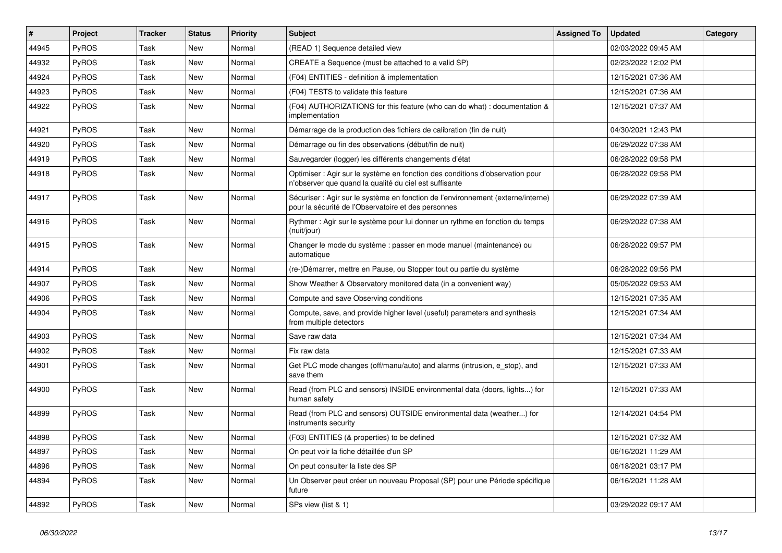| #     | Project      | <b>Tracker</b> | <b>Status</b> | <b>Priority</b> | <b>Subject</b>                                                                                                                          | <b>Assigned To</b> | <b>Updated</b>      | Category |
|-------|--------------|----------------|---------------|-----------------|-----------------------------------------------------------------------------------------------------------------------------------------|--------------------|---------------------|----------|
| 44945 | <b>PyROS</b> | Task           | <b>New</b>    | Normal          | (READ 1) Sequence detailed view                                                                                                         |                    | 02/03/2022 09:45 AM |          |
| 44932 | PyROS        | Task           | <b>New</b>    | Normal          | CREATE a Sequence (must be attached to a valid SP)                                                                                      |                    | 02/23/2022 12:02 PM |          |
| 44924 | PyROS        | Task           | <b>New</b>    | Normal          | (F04) ENTITIES - definition & implementation                                                                                            |                    | 12/15/2021 07:36 AM |          |
| 44923 | <b>PyROS</b> | Task           | <b>New</b>    | Normal          | (F04) TESTS to validate this feature                                                                                                    |                    | 12/15/2021 07:36 AM |          |
| 44922 | <b>PyROS</b> | Task           | New           | Normal          | (F04) AUTHORIZATIONS for this feature (who can do what) : documentation &<br>implementation                                             |                    | 12/15/2021 07:37 AM |          |
| 44921 | PyROS        | Task           | New           | Normal          | Démarrage de la production des fichiers de calibration (fin de nuit)                                                                    |                    | 04/30/2021 12:43 PM |          |
| 44920 | PyROS        | Task           | New           | Normal          | Démarrage ou fin des observations (début/fin de nuit)                                                                                   |                    | 06/29/2022 07:38 AM |          |
| 44919 | PyROS        | Task           | New           | Normal          | Sauvegarder (logger) les différents changements d'état                                                                                  |                    | 06/28/2022 09:58 PM |          |
| 44918 | PyROS        | Task           | New           | Normal          | Optimiser : Agir sur le système en fonction des conditions d'observation pour<br>n'observer que quand la qualité du ciel est suffisante |                    | 06/28/2022 09:58 PM |          |
| 44917 | PyROS        | Task           | New           | Normal          | Sécuriser : Agir sur le système en fonction de l'environnement (externe/interne)<br>pour la sécurité de l'Observatoire et des personnes |                    | 06/29/2022 07:39 AM |          |
| 44916 | PyROS        | Task           | <b>New</b>    | Normal          | Rythmer : Agir sur le système pour lui donner un rythme en fonction du temps<br>(nuit/jour)                                             |                    | 06/29/2022 07:38 AM |          |
| 44915 | <b>PyROS</b> | Task           | New           | Normal          | Changer le mode du système : passer en mode manuel (maintenance) ou<br>automatique                                                      |                    | 06/28/2022 09:57 PM |          |
| 44914 | PyROS        | Task           | New           | Normal          | (re-)Démarrer, mettre en Pause, ou Stopper tout ou partie du système                                                                    |                    | 06/28/2022 09:56 PM |          |
| 44907 | PyROS        | Task           | New           | Normal          | Show Weather & Observatory monitored data (in a convenient way)                                                                         |                    | 05/05/2022 09:53 AM |          |
| 44906 | PyROS        | Task           | New           | Normal          | Compute and save Observing conditions                                                                                                   |                    | 12/15/2021 07:35 AM |          |
| 44904 | PyROS        | Task           | New           | Normal          | Compute, save, and provide higher level (useful) parameters and synthesis<br>from multiple detectors                                    |                    | 12/15/2021 07:34 AM |          |
| 44903 | PyROS        | Task           | <b>New</b>    | Normal          | Save raw data                                                                                                                           |                    | 12/15/2021 07:34 AM |          |
| 44902 | PyROS        | Task           | New           | Normal          | Fix raw data                                                                                                                            |                    | 12/15/2021 07:33 AM |          |
| 44901 | PyROS        | Task           | New           | Normal          | Get PLC mode changes (off/manu/auto) and alarms (intrusion, e stop), and<br>save them                                                   |                    | 12/15/2021 07:33 AM |          |
| 44900 | PyROS        | Task           | <b>New</b>    | Normal          | Read (from PLC and sensors) INSIDE environmental data (doors, lights) for<br>human safety                                               |                    | 12/15/2021 07:33 AM |          |
| 44899 | PyROS        | Task           | <b>New</b>    | Normal          | Read (from PLC and sensors) OUTSIDE environmental data (weather) for<br>instruments security                                            |                    | 12/14/2021 04:54 PM |          |
| 44898 | <b>PyROS</b> | Task           | <b>New</b>    | Normal          | (F03) ENTITIES (& properties) to be defined                                                                                             |                    | 12/15/2021 07:32 AM |          |
| 44897 | PyROS        | Task           | <b>New</b>    | Normal          | On peut voir la fiche détaillée d'un SP                                                                                                 |                    | 06/16/2021 11:29 AM |          |
| 44896 | PyROS        | Task           | New           | Normal          | On peut consulter la liste des SP                                                                                                       |                    | 06/18/2021 03:17 PM |          |
| 44894 | PyROS        | Task           | New           | Normal          | Un Observer peut créer un nouveau Proposal (SP) pour une Période spécifique<br>future                                                   |                    | 06/16/2021 11:28 AM |          |
| 44892 | PyROS        | Task           | New           | Normal          | SPs view (list & 1)                                                                                                                     |                    | 03/29/2022 09:17 AM |          |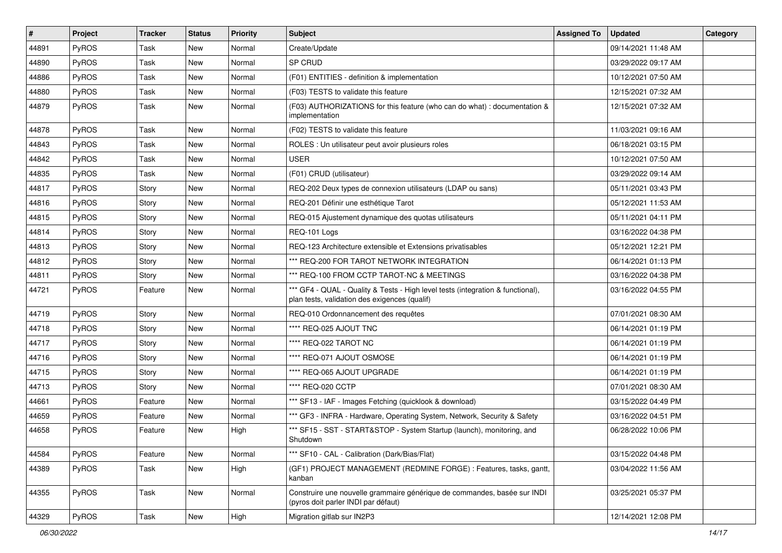| $\vert$ # | Project      | <b>Tracker</b> | <b>Status</b> | <b>Priority</b> | <b>Subject</b>                                                                                                                   | <b>Assigned To</b> | <b>Updated</b>      | Category |
|-----------|--------------|----------------|---------------|-----------------|----------------------------------------------------------------------------------------------------------------------------------|--------------------|---------------------|----------|
| 44891     | PyROS        | Task           | New           | Normal          | Create/Update                                                                                                                    |                    | 09/14/2021 11:48 AM |          |
| 44890     | PyROS        | Task           | New           | Normal          | SP CRUD                                                                                                                          |                    | 03/29/2022 09:17 AM |          |
| 44886     | <b>PyROS</b> | Task           | New           | Normal          | (F01) ENTITIES - definition & implementation                                                                                     |                    | 10/12/2021 07:50 AM |          |
| 44880     | PyROS        | Task           | New           | Normal          | (F03) TESTS to validate this feature                                                                                             |                    | 12/15/2021 07:32 AM |          |
| 44879     | PyROS        | Task           | New           | Normal          | (F03) AUTHORIZATIONS for this feature (who can do what) : documentation &<br>implementation                                      |                    | 12/15/2021 07:32 AM |          |
| 44878     | PyROS        | Task           | New           | Normal          | (F02) TESTS to validate this feature                                                                                             |                    | 11/03/2021 09:16 AM |          |
| 44843     | PyROS        | Task           | New           | Normal          | ROLES : Un utilisateur peut avoir plusieurs roles                                                                                |                    | 06/18/2021 03:15 PM |          |
| 44842     | PyROS        | Task           | New           | Normal          | USER                                                                                                                             |                    | 10/12/2021 07:50 AM |          |
| 44835     | PyROS        | Task           | New           | Normal          | (F01) CRUD (utilisateur)                                                                                                         |                    | 03/29/2022 09:14 AM |          |
| 44817     | PyROS        | Story          | New           | Normal          | REQ-202 Deux types de connexion utilisateurs (LDAP ou sans)                                                                      |                    | 05/11/2021 03:43 PM |          |
| 44816     | PyROS        | Story          | New           | Normal          | REQ-201 Définir une esthétique Tarot                                                                                             |                    | 05/12/2021 11:53 AM |          |
| 44815     | PyROS        | Story          | New           | Normal          | REQ-015 Ajustement dynamique des quotas utilisateurs                                                                             |                    | 05/11/2021 04:11 PM |          |
| 44814     | PyROS        | Story          | New           | Normal          | REQ-101 Logs                                                                                                                     |                    | 03/16/2022 04:38 PM |          |
| 44813     | PyROS        | Story          | New           | Normal          | REQ-123 Architecture extensible et Extensions privatisables                                                                      |                    | 05/12/2021 12:21 PM |          |
| 44812     | PyROS        | Story          | New           | Normal          | *** REQ-200 FOR TAROT NETWORK INTEGRATION                                                                                        |                    | 06/14/2021 01:13 PM |          |
| 44811     | PyROS        | Story          | New           | Normal          | *** REQ-100 FROM CCTP TAROT-NC & MEETINGS                                                                                        |                    | 03/16/2022 04:38 PM |          |
| 44721     | PyROS        | Feature        | New           | Normal          | *** GF4 - QUAL - Quality & Tests - High level tests (integration & functional),<br>plan tests, validation des exigences (qualif) |                    | 03/16/2022 04:55 PM |          |
| 44719     | PyROS        | Story          | New           | Normal          | REQ-010 Ordonnancement des requêtes                                                                                              |                    | 07/01/2021 08:30 AM |          |
| 44718     | PyROS        | Story          | New           | Normal          | **** REQ-025 AJOUT TNC                                                                                                           |                    | 06/14/2021 01:19 PM |          |
| 44717     | PyROS        | Story          | New           | Normal          | **** REQ-022 TAROT NC                                                                                                            |                    | 06/14/2021 01:19 PM |          |
| 44716     | PyROS        | Story          | New           | Normal          | **** REQ-071 AJOUT OSMOSE                                                                                                        |                    | 06/14/2021 01:19 PM |          |
| 44715     | PyROS        | Story          | New           | Normal          | **** REQ-065 AJOUT UPGRADE                                                                                                       |                    | 06/14/2021 01:19 PM |          |
| 44713     | PyROS        | Story          | New           | Normal          | **** REQ-020 CCTP                                                                                                                |                    | 07/01/2021 08:30 AM |          |
| 44661     | PyROS        | Feature        | New           | Normal          | *** SF13 - IAF - Images Fetching (quicklook & download)                                                                          |                    | 03/15/2022 04:49 PM |          |
| 44659     | PyROS        | Feature        | New           | Normal          | *** GF3 - INFRA - Hardware, Operating System, Network, Security & Safety                                                         |                    | 03/16/2022 04:51 PM |          |
| 44658     | PyROS        | Feature        | New           | High            | *** SF15 - SST - START&STOP - System Startup (launch), monitoring, and<br>Shutdown                                               |                    | 06/28/2022 10:06 PM |          |
| 44584     | PyROS        | Feature        | New           | Normal          | *** SF10 - CAL - Calibration (Dark/Bias/Flat)                                                                                    |                    | 03/15/2022 04:48 PM |          |
| 44389     | PyROS        | Task           | New           | High            | (GF1) PROJECT MANAGEMENT (REDMINE FORGE) : Features, tasks, gantt,<br>kanban                                                     |                    | 03/04/2022 11:56 AM |          |
| 44355     | PyROS        | Task           | New           | Normal          | Construire une nouvelle grammaire générique de commandes, basée sur INDI<br>(pyros doit parler INDI par défaut)                  |                    | 03/25/2021 05:37 PM |          |
| 44329     | PyROS        | Task           | New           | High            | Migration gitlab sur IN2P3                                                                                                       |                    | 12/14/2021 12:08 PM |          |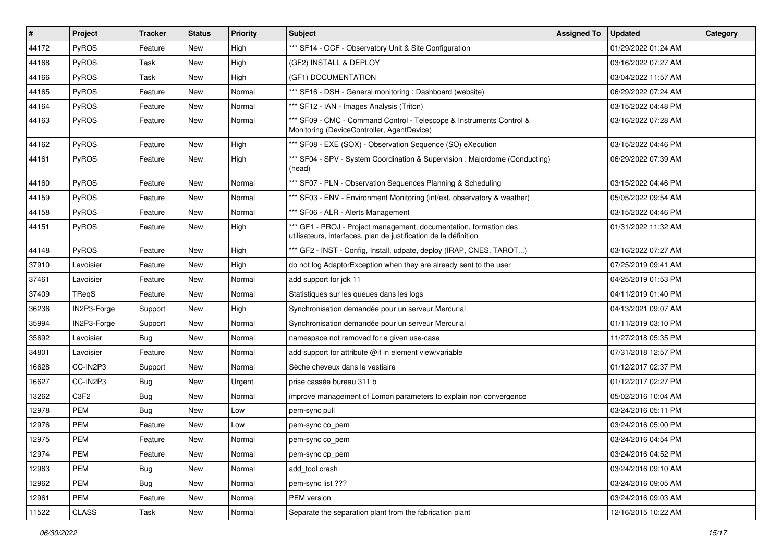| #     | <b>Project</b> | <b>Tracker</b> | <b>Status</b> | <b>Priority</b> | <b>Subject</b>                                                                                                                        | <b>Assigned To</b> | <b>Updated</b>      | Category |
|-------|----------------|----------------|---------------|-----------------|---------------------------------------------------------------------------------------------------------------------------------------|--------------------|---------------------|----------|
| 44172 | PyROS          | Feature        | New           | High            | *** SF14 - OCF - Observatory Unit & Site Configuration                                                                                |                    | 01/29/2022 01:24 AM |          |
| 44168 | PyROS          | Task           | New           | High            | (GF2) INSTALL & DEPLOY                                                                                                                |                    | 03/16/2022 07:27 AM |          |
| 44166 | <b>PyROS</b>   | Task           | New           | High            | (GF1) DOCUMENTATION                                                                                                                   |                    | 03/04/2022 11:57 AM |          |
| 44165 | PyROS          | Feature        | New           | Normal          | *** SF16 - DSH - General monitoring: Dashboard (website)                                                                              |                    | 06/29/2022 07:24 AM |          |
| 44164 | PyROS          | Feature        | <b>New</b>    | Normal          | *** SF12 - IAN - Images Analysis (Triton)                                                                                             |                    | 03/15/2022 04:48 PM |          |
| 44163 | PyROS          | Feature        | New           | Normal          | *** SF09 - CMC - Command Control - Telescope & Instruments Control &<br>Monitoring (DeviceController, AgentDevice)                    |                    | 03/16/2022 07:28 AM |          |
| 44162 | PyROS          | Feature        | New           | High            | *** SF08 - EXE (SOX) - Observation Sequence (SO) eXecution                                                                            |                    | 03/15/2022 04:46 PM |          |
| 44161 | PyROS          | Feature        | New           | High            | *** SF04 - SPV - System Coordination & Supervision : Majordome (Conducting)<br>(head)                                                 |                    | 06/29/2022 07:39 AM |          |
| 44160 | PyROS          | Feature        | New           | Normal          | *** SF07 - PLN - Observation Sequences Planning & Scheduling                                                                          |                    | 03/15/2022 04:46 PM |          |
| 44159 | PyROS          | Feature        | New           | Normal          | *** SF03 - ENV - Environment Monitoring (int/ext, observatory & weather)                                                              |                    | 05/05/2022 09:54 AM |          |
| 44158 | PyROS          | Feature        | <b>New</b>    | Normal          | *** SF06 - ALR - Alerts Management                                                                                                    |                    | 03/15/2022 04:46 PM |          |
| 44151 | PyROS          | Feature        | New           | High            | *** GF1 - PROJ - Project management, documentation, formation des<br>utilisateurs, interfaces, plan de justification de la définition |                    | 01/31/2022 11:32 AM |          |
| 44148 | PyROS          | Feature        | New           | High            | *** GF2 - INST - Config, Install, udpate, deploy (IRAP, CNES, TAROT)                                                                  |                    | 03/16/2022 07:27 AM |          |
| 37910 | Lavoisier      | Feature        | New           | High            | do not log AdaptorException when they are already sent to the user                                                                    |                    | 07/25/2019 09:41 AM |          |
| 37461 | Lavoisier      | Feature        | New           | Normal          | add support for jdk 11                                                                                                                |                    | 04/25/2019 01:53 PM |          |
| 37409 | TRegS          | Feature        | New           | Normal          | Statistiques sur les queues dans les logs                                                                                             |                    | 04/11/2019 01:40 PM |          |
| 36236 | IN2P3-Forge    | Support        | New           | High            | Synchronisation demandée pour un serveur Mercurial                                                                                    |                    | 04/13/2021 09:07 AM |          |
| 35994 | IN2P3-Forge    | Support        | New           | Normal          | Synchronisation demandée pour un serveur Mercurial                                                                                    |                    | 01/11/2019 03:10 PM |          |
| 35692 | Lavoisier      | Bug            | New           | Normal          | namespace not removed for a given use-case                                                                                            |                    | 11/27/2018 05:35 PM |          |
| 34801 | Lavoisier      | Feature        | New           | Normal          | add support for attribute @if in element view/variable                                                                                |                    | 07/31/2018 12:57 PM |          |
| 16628 | CC-IN2P3       | Support        | New           | Normal          | Sèche cheveux dans le vestiaire                                                                                                       |                    | 01/12/2017 02:37 PM |          |
| 16627 | CC-IN2P3       | Bug            | New           | Urgent          | prise cassée bureau 311 b                                                                                                             |                    | 01/12/2017 02:27 PM |          |
| 13262 | C3F2           | <b>Bug</b>     | New           | Normal          | improve management of Lomon parameters to explain non convergence                                                                     |                    | 05/02/2016 10:04 AM |          |
| 12978 | <b>PEM</b>     | <b>Bug</b>     | New           | Low             | pem-sync pull                                                                                                                         |                    | 03/24/2016 05:11 PM |          |
| 12976 | <b>PEM</b>     | Feature        | <b>New</b>    | Low             | pem-sync co_pem                                                                                                                       |                    | 03/24/2016 05:00 PM |          |
| 12975 | <b>PEM</b>     | Feature        | New           | Normal          | pem-sync co_pem                                                                                                                       |                    | 03/24/2016 04:54 PM |          |
| 12974 | <b>PEM</b>     | Feature        | New           | Normal          | pem-sync cp_pem                                                                                                                       |                    | 03/24/2016 04:52 PM |          |
| 12963 | PEM            | <b>Bug</b>     | New           | Normal          | add tool crash                                                                                                                        |                    | 03/24/2016 09:10 AM |          |
| 12962 | <b>PEM</b>     | Bug            | New           | Normal          | pem-sync list ???                                                                                                                     |                    | 03/24/2016 09:05 AM |          |
| 12961 | PEM            | Feature        | New           | Normal          | PEM version                                                                                                                           |                    | 03/24/2016 09:03 AM |          |
| 11522 | CLASS          | Task           | New           | Normal          | Separate the separation plant from the fabrication plant                                                                              |                    | 12/16/2015 10:22 AM |          |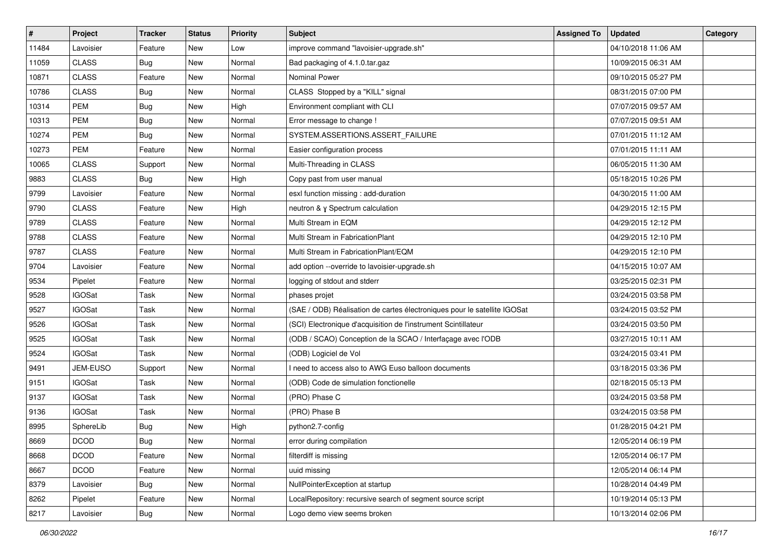| #     | Project       | <b>Tracker</b> | <b>Status</b> | <b>Priority</b> | <b>Subject</b>                                                           | <b>Assigned To</b> | <b>Updated</b>      | Category |
|-------|---------------|----------------|---------------|-----------------|--------------------------------------------------------------------------|--------------------|---------------------|----------|
| 11484 | Lavoisier     | Feature        | <b>New</b>    | Low             | improve command "lavoisier-upgrade.sh"                                   |                    | 04/10/2018 11:06 AM |          |
| 11059 | <b>CLASS</b>  | Bug            | New           | Normal          | Bad packaging of 4.1.0.tar.gaz                                           |                    | 10/09/2015 06:31 AM |          |
| 10871 | <b>CLASS</b>  | Feature        | New           | Normal          | <b>Nominal Power</b>                                                     |                    | 09/10/2015 05:27 PM |          |
| 10786 | <b>CLASS</b>  | Bug            | New           | Normal          | CLASS Stopped by a "KILL" signal                                         |                    | 08/31/2015 07:00 PM |          |
| 10314 | <b>PEM</b>    | Bug            | New           | High            | Environment compliant with CLI                                           |                    | 07/07/2015 09:57 AM |          |
| 10313 | <b>PEM</b>    | Bug            | New           | Normal          | Error message to change !                                                |                    | 07/07/2015 09:51 AM |          |
| 10274 | PEM           | Bug            | New           | Normal          | SYSTEM.ASSERTIONS.ASSERT_FAILURE                                         |                    | 07/01/2015 11:12 AM |          |
| 10273 | <b>PEM</b>    | Feature        | New           | Normal          | Easier configuration process                                             |                    | 07/01/2015 11:11 AM |          |
| 10065 | <b>CLASS</b>  | Support        | New           | Normal          | Multi-Threading in CLASS                                                 |                    | 06/05/2015 11:30 AM |          |
| 9883  | <b>CLASS</b>  | Bug            | New           | High            | Copy past from user manual                                               |                    | 05/18/2015 10:26 PM |          |
| 9799  | Lavoisier     | Feature        | New           | Normal          | esxl function missing : add-duration                                     |                    | 04/30/2015 11:00 AM |          |
| 9790  | <b>CLASS</b>  | Feature        | <b>New</b>    | High            | neutron & y Spectrum calculation                                         |                    | 04/29/2015 12:15 PM |          |
| 9789  | <b>CLASS</b>  | Feature        | New           | Normal          | Multi Stream in EQM                                                      |                    | 04/29/2015 12:12 PM |          |
| 9788  | <b>CLASS</b>  | Feature        | New           | Normal          | Multi Stream in FabricationPlant                                         |                    | 04/29/2015 12:10 PM |          |
| 9787  | <b>CLASS</b>  | Feature        | New           | Normal          | Multi Stream in FabricationPlant/EQM                                     |                    | 04/29/2015 12:10 PM |          |
| 9704  | Lavoisier     | Feature        | New           | Normal          | add option --override to lavoisier-upgrade.sh                            |                    | 04/15/2015 10:07 AM |          |
| 9534  | Pipelet       | Feature        | New           | Normal          | logging of stdout and stderr                                             |                    | 03/25/2015 02:31 PM |          |
| 9528  | <b>IGOSat</b> | Task           | New           | Normal          | phases projet                                                            |                    | 03/24/2015 03:58 PM |          |
| 9527  | <b>IGOSat</b> | Task           | New           | Normal          | (SAE / ODB) Réalisation de cartes électroniques pour le satellite IGOSat |                    | 03/24/2015 03:52 PM |          |
| 9526  | <b>IGOSat</b> | Task           | New           | Normal          | (SCI) Electronique d'acquisition de l'instrument Scintillateur           |                    | 03/24/2015 03:50 PM |          |
| 9525  | <b>IGOSat</b> | Task           | New           | Normal          | (ODB / SCAO) Conception de la SCAO / Interfaçage avec l'ODB              |                    | 03/27/2015 10:11 AM |          |
| 9524  | <b>IGOSat</b> | Task           | New           | Normal          | (ODB) Logiciel de Vol                                                    |                    | 03/24/2015 03:41 PM |          |
| 9491  | JEM-EUSO      | Support        | New           | Normal          | I need to access also to AWG Euso balloon documents                      |                    | 03/18/2015 03:36 PM |          |
| 9151  | <b>IGOSat</b> | Task           | New           | Normal          | (ODB) Code de simulation fonctionelle                                    |                    | 02/18/2015 05:13 PM |          |
| 9137  | <b>IGOSat</b> | Task           | New           | Normal          | (PRO) Phase C                                                            |                    | 03/24/2015 03:58 PM |          |
| 9136  | <b>IGOSat</b> | Task           | New           | Normal          | (PRO) Phase B                                                            |                    | 03/24/2015 03:58 PM |          |
| 8995  | SphereLib     | Bug            | New           | High            | python2.7-config                                                         |                    | 01/28/2015 04:21 PM |          |
| 8669  | DCOD          | Bug            | New           | Normal          | error during compilation                                                 |                    | 12/05/2014 06:19 PM |          |
| 8668  | <b>DCOD</b>   | Feature        | New           | Normal          | filterdiff is missing                                                    |                    | 12/05/2014 06:17 PM |          |
| 8667  | <b>DCOD</b>   | Feature        | New           | Normal          | uuid missing                                                             |                    | 12/05/2014 06:14 PM |          |
| 8379  | Lavoisier     | Bug            | New           | Normal          | NullPointerException at startup                                          |                    | 10/28/2014 04:49 PM |          |
| 8262  | Pipelet       | Feature        | New           | Normal          | LocalRepository: recursive search of segment source script               |                    | 10/19/2014 05:13 PM |          |
| 8217  | Lavoisier     | Bug            | New           | Normal          | Logo demo view seems broken                                              |                    | 10/13/2014 02:06 PM |          |